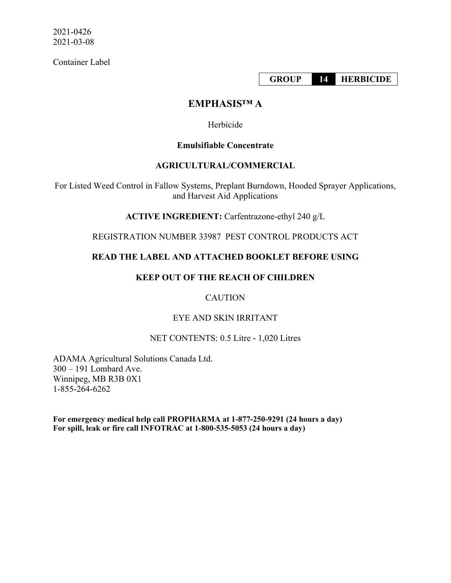Container Label

**GROUP 14 HERBICIDE**

# **EMPHASIS™ A**

Herbicide

## **Emulsifiable Concentrate**

# **AGRICULTURAL/COMMERCIAL**

For Listed Weed Control in Fallow Systems, Preplant Burndown, Hooded Sprayer Applications, and Harvest Aid Applications

**ACTIVE INGREDIENT:** Carfentrazone-ethyl 240 g/L

REGISTRATION NUMBER 33987 PEST CONTROL PRODUCTS ACT

# **READ THE LABEL AND ATTACHED BOOKLET BEFORE USING**

# **KEEP OUT OF THE REACH OF CHILDREN**

# **CAUTION**

# EYE AND SKIN IRRITANT

# NET CONTENTS: 0.5 Litre - 1,020 Litres

ADAMA Agricultural Solutions Canada Ltd. 300 – 191 Lombard Ave. Winnipeg, MB R3B 0X1 1-855-264-6262

**For emergency medical help call PROPHARMA at 1-877-250-9291 (24 hours a day) For spill, leak or fire call INFOTRAC at 1-800-535-5053 (24 hours a day)**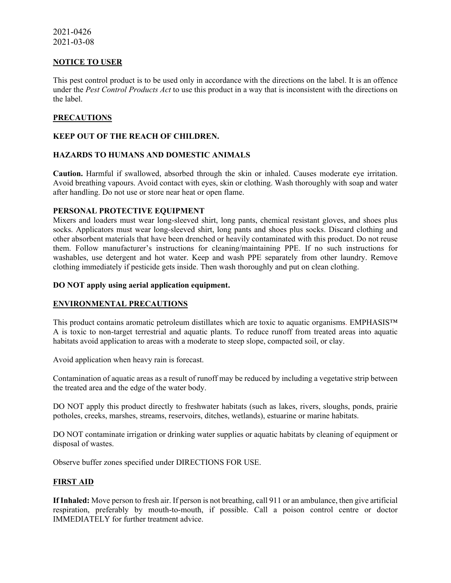#### **NOTICE TO USER**

This pest control product is to be used only in accordance with the directions on the label. It is an offence under the *Pest Control Products Act* to use this product in a way that is inconsistent with the directions on the label.

### **PRECAUTIONS**

#### **KEEP OUT OF THE REACH OF CHILDREN.**

### **HAZARDS TO HUMANS AND DOMESTIC ANIMALS**

**Caution.** Harmful if swallowed, absorbed through the skin or inhaled. Causes moderate eye irritation. Avoid breathing vapours. Avoid contact with eyes, skin or clothing. Wash thoroughly with soap and water after handling. Do not use or store near heat or open flame.

#### **PERSONAL PROTECTIVE EQUIPMENT**

Mixers and loaders must wear long-sleeved shirt, long pants, chemical resistant gloves, and shoes plus socks. Applicators must wear long-sleeved shirt, long pants and shoes plus socks. Discard clothing and other absorbent materials that have been drenched or heavily contaminated with this product. Do not reuse them. Follow manufacturer's instructions for cleaning/maintaining PPE. If no such instructions for washables, use detergent and hot water. Keep and wash PPE separately from other laundry. Remove clothing immediately if pesticide gets inside. Then wash thoroughly and put on clean clothing.

#### **DO NOT apply using aerial application equipment.**

### **ENVIRONMENTAL PRECAUTIONS**

This product contains aromatic petroleum distillates which are toxic to aquatic organisms. EMPHASIS™ A is toxic to non-target terrestrial and aquatic plants. To reduce runoff from treated areas into aquatic habitats avoid application to areas with a moderate to steep slope, compacted soil, or clay.

Avoid application when heavy rain is forecast.

Contamination of aquatic areas as a result of runoff may be reduced by including a vegetative strip between the treated area and the edge of the water body.

DO NOT apply this product directly to freshwater habitats (such as lakes, rivers, sloughs, ponds, prairie potholes, creeks, marshes, streams, reservoirs, ditches, wetlands), estuarine or marine habitats.

DO NOT contaminate irrigation or drinking water supplies or aquatic habitats by cleaning of equipment or disposal of wastes.

Observe buffer zones specified under DIRECTIONS FOR USE.

### **FIRST AID**

**If Inhaled:** Move person to fresh air. If person is not breathing, call 911 or an ambulance, then give artificial respiration, preferably by mouth-to-mouth, if possible. Call a poison control centre or doctor IMMEDIATELY for further treatment advice.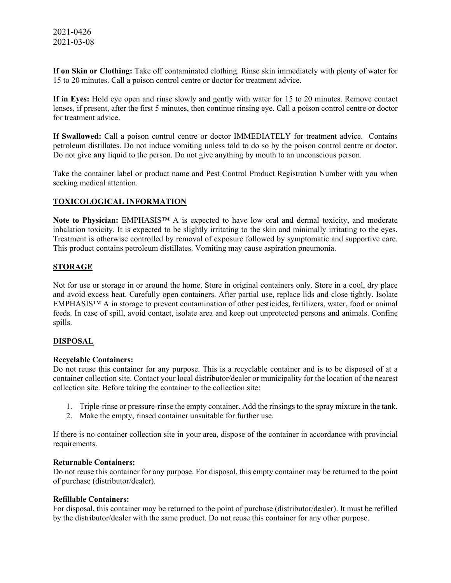**If on Skin or Clothing:** Take off contaminated clothing. Rinse skin immediately with plenty of water for 15 to 20 minutes. Call a poison control centre or doctor for treatment advice.

**If in Eyes:** Hold eye open and rinse slowly and gently with water for 15 to 20 minutes. Remove contact lenses, if present, after the first 5 minutes, then continue rinsing eye. Call a poison control centre or doctor for treatment advice.

**If Swallowed:** Call a poison control centre or doctor IMMEDIATELY for treatment advice. Contains petroleum distillates. Do not induce vomiting unless told to do so by the poison control centre or doctor. Do not give **any** liquid to the person. Do not give anything by mouth to an unconscious person.

Take the container label or product name and Pest Control Product Registration Number with you when seeking medical attention.

### **TOXICOLOGICAL INFORMATION**

**Note to Physician:** EMPHASIS™ A is expected to have low oral and dermal toxicity, and moderate inhalation toxicity. It is expected to be slightly irritating to the skin and minimally irritating to the eyes. Treatment is otherwise controlled by removal of exposure followed by symptomatic and supportive care. This product contains petroleum distillates. Vomiting may cause aspiration pneumonia.

### **STORAGE**

Not for use or storage in or around the home. Store in original containers only. Store in a cool, dry place and avoid excess heat. Carefully open containers. After partial use, replace lids and close tightly. Isolate EMPHASIS™ A in storage to prevent contamination of other pesticides, fertilizers, water, food or animal feeds. In case of spill, avoid contact, isolate area and keep out unprotected persons and animals. Confine spills.

#### **DISPOSAL**

#### **Recyclable Containers:**

Do not reuse this container for any purpose. This is a recyclable container and is to be disposed of at a container collection site. Contact your local distributor/dealer or municipality for the location of the nearest collection site. Before taking the container to the collection site:

- 1. Triple-rinse or pressure-rinse the empty container. Add the rinsings to the spray mixture in the tank.
- 2. Make the empty, rinsed container unsuitable for further use.

If there is no container collection site in your area, dispose of the container in accordance with provincial requirements.

#### **Returnable Containers:**

Do not reuse this container for any purpose. For disposal, this empty container may be returned to the point of purchase (distributor/dealer).

#### **Refillable Containers:**

For disposal, this container may be returned to the point of purchase (distributor/dealer). It must be refilled by the distributor/dealer with the same product. Do not reuse this container for any other purpose.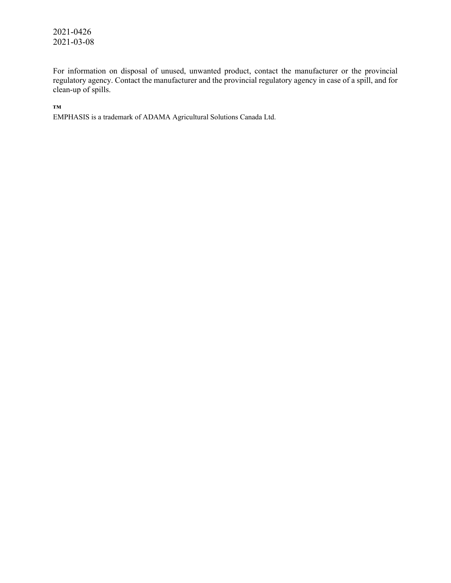For information on disposal of unused, unwanted product, contact the manufacturer or the provincial regulatory agency. Contact the manufacturer and the provincial regulatory agency in case of a spill, and for clean-up of spills.

**™**

EMPHASIS is a trademark of ADAMA Agricultural Solutions Canada Ltd.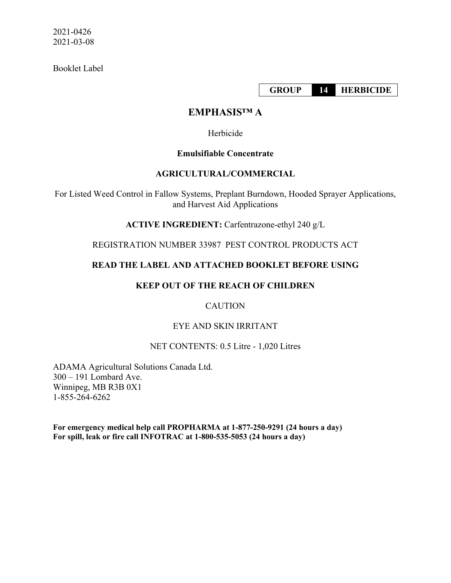Booklet Label

**GROUP 14 HERBICIDE**

# **EMPHASIS™ A**

Herbicide

# **Emulsifiable Concentrate**

## **AGRICULTURAL/COMMERCIAL**

For Listed Weed Control in Fallow Systems, Preplant Burndown, Hooded Sprayer Applications, and Harvest Aid Applications

**ACTIVE INGREDIENT:** Carfentrazone-ethyl 240 g/L

REGISTRATION NUMBER 33987 PEST CONTROL PRODUCTS ACT

# **READ THE LABEL AND ATTACHED BOOKLET BEFORE USING**

# **KEEP OUT OF THE REACH OF CHILDREN**

# **CAUTION**

# EYE AND SKIN IRRITANT

## NET CONTENTS: 0.5 Litre - 1,020 Litres

ADAMA Agricultural Solutions Canada Ltd. 300 – 191 Lombard Ave. Winnipeg, MB R3B 0X1 1-855-264-6262

**For emergency medical help call PROPHARMA at 1-877-250-9291 (24 hours a day) For spill, leak or fire call INFOTRAC at 1-800-535-5053 (24 hours a day)**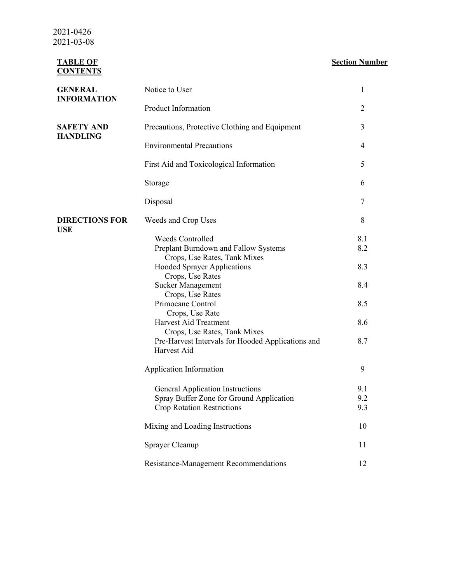> **TABLE OF CONTENTS**

# **Section Number**

| <b>GENERAL</b>                      | Notice to User                                                                                             | 1                 |  |
|-------------------------------------|------------------------------------------------------------------------------------------------------------|-------------------|--|
| <b>INFORMATION</b>                  | Product Information                                                                                        | 2                 |  |
| <b>SAFETY AND</b>                   | Precautions, Protective Clothing and Equipment                                                             | 3                 |  |
| <b>HANDLING</b>                     | <b>Environmental Precautions</b>                                                                           |                   |  |
|                                     | First Aid and Toxicological Information                                                                    | 5                 |  |
|                                     | Storage                                                                                                    | 6                 |  |
|                                     | Disposal                                                                                                   | 7                 |  |
| <b>DIRECTIONS FOR</b><br><b>USE</b> | Weeds and Crop Uses                                                                                        | 8                 |  |
|                                     | <b>Weeds Controlled</b><br>Preplant Burndown and Fallow Systems                                            | 8.1<br>8.2        |  |
|                                     | Crops, Use Rates, Tank Mixes<br><b>Hooded Sprayer Applications</b>                                         | 8.3               |  |
|                                     | Crops, Use Rates<br><b>Sucker Management</b>                                                               | 8.4               |  |
|                                     | Crops, Use Rates<br>Primocane Control                                                                      | 8.5               |  |
|                                     | Crops, Use Rate<br>Harvest Aid Treatment                                                                   | 8.6               |  |
|                                     | Crops, Use Rates, Tank Mixes<br>Pre-Harvest Intervals for Hooded Applications and<br>Harvest Aid           | 8.7               |  |
|                                     | Application Information                                                                                    | 9                 |  |
|                                     | General Application Instructions<br>Spray Buffer Zone for Ground Application<br>Crop Rotation Restrictions | 9.1<br>9.2<br>9.3 |  |
|                                     | Mixing and Loading Instructions                                                                            | 10                |  |
|                                     | Sprayer Cleanup                                                                                            | 11                |  |
|                                     | Resistance-Management Recommendations                                                                      | 12                |  |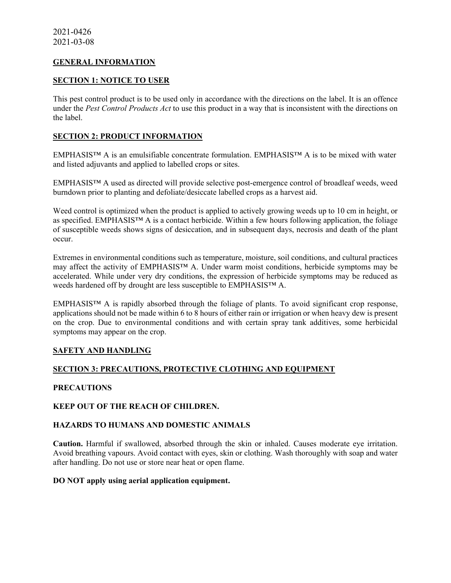### **GENERAL INFORMATION**

#### **SECTION 1: NOTICE TO USER**

This pest control product is to be used only in accordance with the directions on the label. It is an offence under the *Pest Control Products Act* to use this product in a way that is inconsistent with the directions on the label.

### **SECTION 2: PRODUCT INFORMATION**

EMPHASIS™ A is an emulsifiable concentrate formulation. EMPHASIS™ A is to be mixed with water and listed adjuvants and applied to labelled crops or sites.

EMPHASIS™ A used as directed will provide selective post-emergence control of broadleaf weeds, weed burndown prior to planting and defoliate/desiccate labelled crops as a harvest aid.

Weed control is optimized when the product is applied to actively growing weeds up to 10 cm in height, or as specified. EMPHASIS™ A is a contact herbicide. Within a few hours following application, the foliage of susceptible weeds shows signs of desiccation, and in subsequent days, necrosis and death of the plant occur.

Extremes in environmental conditions such as temperature, moisture, soil conditions, and cultural practices may affect the activity of EMPHASIS™ A. Under warm moist conditions, herbicide symptoms may be accelerated. While under very dry conditions, the expression of herbicide symptoms may be reduced as weeds hardened off by drought are less susceptible to EMPHASIS™ A.

EMPHASIS™ A is rapidly absorbed through the foliage of plants. To avoid significant crop response, applications should not be made within 6 to 8 hours of either rain or irrigation or when heavy dew is present on the crop. Due to environmental conditions and with certain spray tank additives, some herbicidal symptoms may appear on the crop.

### **SAFETY AND HANDLING**

### **SECTION 3: PRECAUTIONS, PROTECTIVE CLOTHING AND EQUIPMENT**

#### **PRECAUTIONS**

### **KEEP OUT OF THE REACH OF CHILDREN.**

### **HAZARDS TO HUMANS AND DOMESTIC ANIMALS**

**Caution.** Harmful if swallowed, absorbed through the skin or inhaled. Causes moderate eye irritation. Avoid breathing vapours. Avoid contact with eyes, skin or clothing. Wash thoroughly with soap and water after handling. Do not use or store near heat or open flame.

#### **DO NOT apply using aerial application equipment.**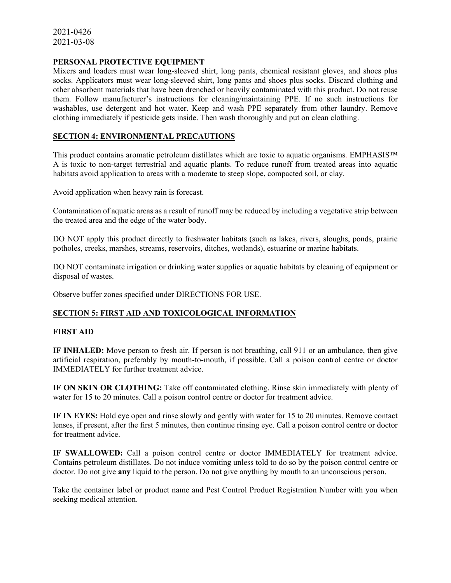#### **PERSONAL PROTECTIVE EQUIPMENT**

Mixers and loaders must wear long-sleeved shirt, long pants, chemical resistant gloves, and shoes plus socks. Applicators must wear long-sleeved shirt, long pants and shoes plus socks. Discard clothing and other absorbent materials that have been drenched or heavily contaminated with this product. Do not reuse them. Follow manufacturer's instructions for cleaning/maintaining PPE. If no such instructions for washables, use detergent and hot water. Keep and wash PPE separately from other laundry. Remove clothing immediately if pesticide gets inside. Then wash thoroughly and put on clean clothing.

### **SECTION 4: ENVIRONMENTAL PRECAUTIONS**

This product contains aromatic petroleum distillates which are toxic to aquatic organisms. EMPHASIS™ A is toxic to non-target terrestrial and aquatic plants. To reduce runoff from treated areas into aquatic habitats avoid application to areas with a moderate to steep slope, compacted soil, or clay.

Avoid application when heavy rain is forecast.

Contamination of aquatic areas as a result of runoff may be reduced by including a vegetative strip between the treated area and the edge of the water body.

DO NOT apply this product directly to freshwater habitats (such as lakes, rivers, sloughs, ponds, prairie potholes, creeks, marshes, streams, reservoirs, ditches, wetlands), estuarine or marine habitats.

DO NOT contaminate irrigation or drinking water supplies or aquatic habitats by cleaning of equipment or disposal of wastes.

Observe buffer zones specified under DIRECTIONS FOR USE.

### **SECTION 5: FIRST AID AND TOXICOLOGICAL INFORMATION**

#### **FIRST AID**

**IF INHALED:** Move person to fresh air. If person is not breathing, call 911 or an ambulance, then give artificial respiration, preferably by mouth-to-mouth, if possible. Call a poison control centre or doctor IMMEDIATELY for further treatment advice.

**IF ON SKIN OR CLOTHING:** Take off contaminated clothing. Rinse skin immediately with plenty of water for 15 to 20 minutes. Call a poison control centre or doctor for treatment advice.

**IF IN EYES:** Hold eye open and rinse slowly and gently with water for 15 to 20 minutes. Remove contact lenses, if present, after the first 5 minutes, then continue rinsing eye. Call a poison control centre or doctor for treatment advice.

**IF SWALLOWED:** Call a poison control centre or doctor IMMEDIATELY for treatment advice. Contains petroleum distillates. Do not induce vomiting unless told to do so by the poison control centre or doctor. Do not give **any** liquid to the person. Do not give anything by mouth to an unconscious person.

Take the container label or product name and Pest Control Product Registration Number with you when seeking medical attention.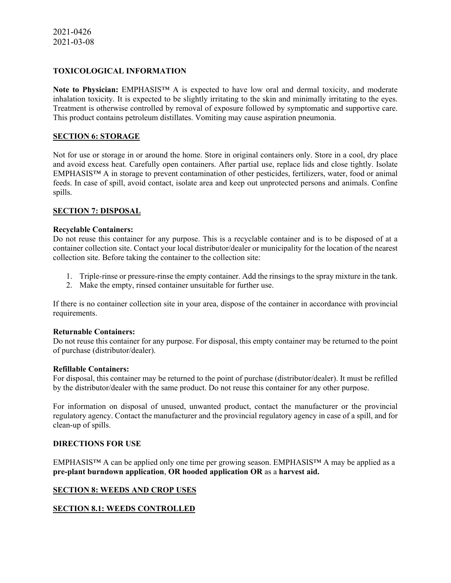### **TOXICOLOGICAL INFORMATION**

**Note to Physician:** EMPHASIS™ A is expected to have low oral and dermal toxicity, and moderate inhalation toxicity. It is expected to be slightly irritating to the skin and minimally irritating to the eyes. Treatment is otherwise controlled by removal of exposure followed by symptomatic and supportive care. This product contains petroleum distillates. Vomiting may cause aspiration pneumonia.

### **SECTION 6: STORAGE**

Not for use or storage in or around the home. Store in original containers only. Store in a cool, dry place and avoid excess heat. Carefully open containers. After partial use, replace lids and close tightly. Isolate EMPHASIS™ A in storage to prevent contamination of other pesticides, fertilizers, water, food or animal feeds. In case of spill, avoid contact, isolate area and keep out unprotected persons and animals. Confine spills.

#### **SECTION 7: DISPOSAL**

#### **Recyclable Containers:**

Do not reuse this container for any purpose. This is a recyclable container and is to be disposed of at a container collection site. Contact your local distributor/dealer or municipality for the location of the nearest collection site. Before taking the container to the collection site:

- 1. Triple-rinse or pressure-rinse the empty container. Add the rinsings to the spray mixture in the tank.
- 2. Make the empty, rinsed container unsuitable for further use.

If there is no container collection site in your area, dispose of the container in accordance with provincial requirements.

#### **Returnable Containers:**

Do not reuse this container for any purpose. For disposal, this empty container may be returned to the point of purchase (distributor/dealer).

#### **Refillable Containers:**

For disposal, this container may be returned to the point of purchase (distributor/dealer). It must be refilled by the distributor/dealer with the same product. Do not reuse this container for any other purpose.

For information on disposal of unused, unwanted product, contact the manufacturer or the provincial regulatory agency. Contact the manufacturer and the provincial regulatory agency in case of a spill, and for clean-up of spills.

### **DIRECTIONS FOR USE**

EMPHASIS™ A can be applied only one time per growing season. EMPHASIS™ A may be applied as a **pre-plant burndown application**, **OR hooded application OR** as a **harvest aid.**

### **SECTION 8: WEEDS AND CROP USES**

### **SECTION 8.1: WEEDS CONTROLLED**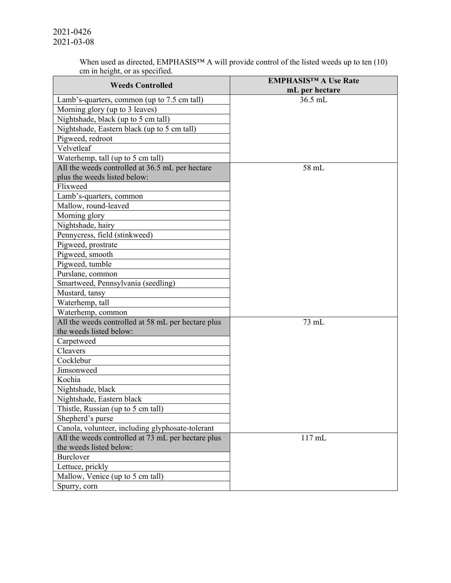When used as directed, EMPHASIS™ A will provide control of the listed weeds up to ten (10) cm in height, or as specified.

| <b>Weeds Controlled</b>                            | <b>EMPHASISTM A Use Rate</b> |
|----------------------------------------------------|------------------------------|
|                                                    | mL per hectare               |
| Lamb's-quarters, common (up to 7.5 cm tall)        | 36.5 mL                      |
| Morning glory (up to 3 leaves)                     |                              |
| Nightshade, black (up to 5 cm tall)                |                              |
| Nightshade, Eastern black (up to 5 cm tall)        |                              |
| Pigweed, redroot                                   |                              |
| Velvetleaf                                         |                              |
| Waterhemp, tall (up to 5 cm tall)                  |                              |
| All the weeds controlled at 36.5 mL per hectare    | 58 mL                        |
| plus the weeds listed below:                       |                              |
| Flixweed                                           |                              |
| Lamb's-quarters, common                            |                              |
| Mallow, round-leaved                               |                              |
| Morning glory                                      |                              |
| Nightshade, hairy                                  |                              |
| Pennycress, field (stinkweed)                      |                              |
| Pigweed, prostrate                                 |                              |
| Pigweed, smooth                                    |                              |
| Pigweed, tumble                                    |                              |
| Purslane, common                                   |                              |
| Smartweed, Pennsylvania (seedling)                 |                              |
| Mustard, tansy                                     |                              |
| Waterhemp, tall                                    |                              |
| Waterhemp, common                                  |                              |
| All the weeds controlled at 58 mL per hectare plus | 73 mL                        |
| the weeds listed below:                            |                              |
| Carpetweed                                         |                              |
| Cleavers                                           |                              |
| Cocklebur                                          |                              |
| Jimsonweed                                         |                              |
| Kochia                                             |                              |
| Nightshade, black                                  |                              |
| Nightshade, Eastern black                          |                              |
| Thistle, Russian (up to 5 cm tall)                 |                              |
| Shepherd's purse                                   |                              |
| Canola, volunteer, including glyphosate-tolerant   |                              |
| All the weeds controlled at 73 mL per hectare plus | 117 mL                       |
| the weeds listed below:                            |                              |
| <b>Burclover</b>                                   |                              |
| Lettuce, prickly                                   |                              |
| Mallow, Venice (up to 5 cm tall)                   |                              |
| Spurry, corn                                       |                              |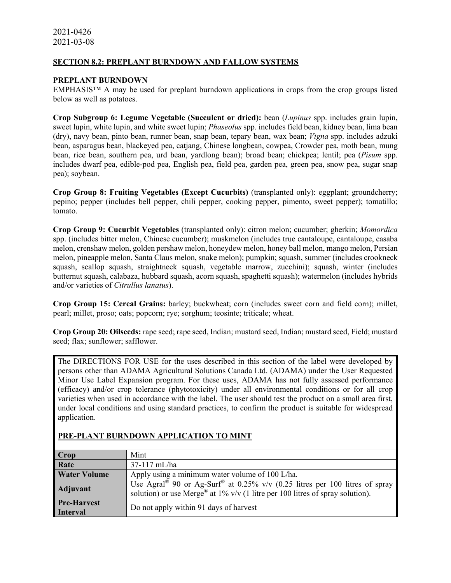### **SECTION 8.2: PREPLANT BURNDOWN AND FALLOW SYSTEMS**

#### **PREPLANT BURNDOWN**

EMPHASIS™ A may be used for preplant burndown applications in crops from the crop groups listed below as well as potatoes.

**Crop Subgroup 6: Legume Vegetable (Succulent or dried):** bean (*Lupinus* spp. includes grain lupin, sweet lupin, white lupin, and white sweet lupin; *Phaseolus* spp. includes field bean, kidney bean, lima bean (dry), navy bean, pinto bean, runner bean, snap bean, tepary bean, wax bean; *Vigna* spp. includes adzuki bean, asparagus bean, blackeyed pea, catjang, Chinese longbean, cowpea, Crowder pea, moth bean, mung bean, rice bean, southern pea, urd bean, yardlong bean); broad bean; chickpea; lentil; pea (*Pisum* spp. includes dwarf pea, edible-pod pea, English pea, field pea, garden pea, green pea, snow pea, sugar snap pea); soybean.

**Crop Group 8: Fruiting Vegetables (Except Cucurbits)** (transplanted only): eggplant; groundcherry; pepino; pepper (includes bell pepper, chili pepper, cooking pepper, pimento, sweet pepper); tomatillo; tomato.

**Crop Group 9: Cucurbit Vegetables** (transplanted only): citron melon; cucumber; gherkin; *Momordica* spp. (includes bitter melon, Chinese cucumber); muskmelon (includes true cantaloupe, cantaloupe, casaba melon, crenshaw melon, golden pershaw melon, honeydew melon, honey ball melon, mango melon, Persian melon, pineapple melon, Santa Claus melon, snake melon); pumpkin; squash, summer (includes crookneck squash, scallop squash, straightneck squash, vegetable marrow, zucchini); squash, winter (includes butternut squash, calabaza, hubbard squash, acorn squash, spaghetti squash); watermelon (includes hybrids and/or varieties of *Citrullus lanatus*).

**Crop Group 15: Cereal Grains:** barley; buckwheat; corn (includes sweet corn and field corn); millet, pearl; millet, proso; oats; popcorn; rye; sorghum; teosinte; triticale; wheat.

**Crop Group 20: Oilseeds:** rape seed; rape seed, Indian; mustard seed, Indian; mustard seed, Field; mustard seed; flax; sunflower; safflower.

The DIRECTIONS FOR USE for the uses described in this section of the label were developed by persons other than ADAMA Agricultural Solutions Canada Ltd. (ADAMA) under the User Requested Minor Use Label Expansion program. For these uses, ADAMA has not fully assessed performance (efficacy) and/or crop tolerance (phytotoxicity) under all environmental conditions or for all crop varieties when used in accordance with the label. The user should test the product on a small area first, under local conditions and using standard practices, to confirm the product is suitable for widespread application.

| Crop                                  | Mint                                                                                                                                                                                             |
|---------------------------------------|--------------------------------------------------------------------------------------------------------------------------------------------------------------------------------------------------|
| Rate                                  | $37-117$ mL/ha                                                                                                                                                                                   |
| <b>Water Volume</b>                   | Apply using a minimum water volume of 100 L/ha.                                                                                                                                                  |
| <b>Adjuvant</b>                       | Use Agral <sup>®</sup> 90 or Ag-Surf <sup>®</sup> at 0.25% v/v (0.25 litres per 100 litres of spray<br>solution) or use Merge <sup>®</sup> at 1% v/v (1 litre per 100 litres of spray solution). |
| <b>Pre-Harvest</b><br><b>Interval</b> | Do not apply within 91 days of harvest                                                                                                                                                           |

## **PRE-PLANT BURNDOWN APPLICATION TO MINT**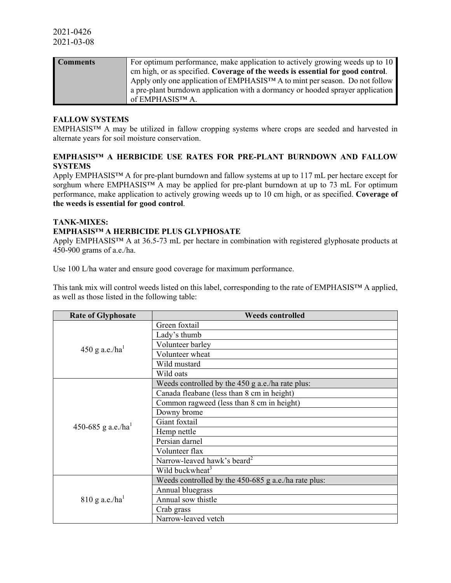| <b>Comments</b> | For optimum performance, make application to actively growing weeds up to 10   |
|-----------------|--------------------------------------------------------------------------------|
|                 | cm high, or as specified. Coverage of the weeds is essential for good control. |
|                 | Apply only one application of EMPHASIS™ A to mint per season. Do not follow    |
|                 | a pre-plant burndown application with a dormancy or hooded sprayer application |
|                 | of EMPHASIS™ A.                                                                |

#### **FALLOW SYSTEMS**

EMPHASIS™ A may be utilized in fallow cropping systems where crops are seeded and harvested in alternate years for soil moisture conservation.

### **EMPHASIS™ A HERBICIDE USE RATES FOR PRE-PLANT BURNDOWN AND FALLOW SYSTEMS**

Apply EMPHASIS™ A for pre-plant burndown and fallow systems at up to 117 mL per hectare except for sorghum where EMPHASIS™ A may be applied for pre-plant burndown at up to 73 mL For optimum performance, make application to actively growing weeds up to 10 cm high, or as specified. **Coverage of the weeds is essential for good control**.

#### **TANK-MIXES:**

### **EMPHASIS™ A HERBICIDE PLUS GLYPHOSATE**

Apply EMPHASIS™ A at 36.5-73 mL per hectare in combination with registered glyphosate products at 450-900 grams of a.e./ha.

Use 100 L/ha water and ensure good coverage for maximum performance.

This tank mix will control weeds listed on this label, corresponding to the rate of EMPHASIS™ A applied, as well as those listed in the following table:

| <b>Rate of Glyphosate</b>      | <b>Weeds controlled</b>                                |  |  |  |
|--------------------------------|--------------------------------------------------------|--|--|--|
|                                | Green foxtail                                          |  |  |  |
|                                | Lady's thumb                                           |  |  |  |
|                                | Volunteer barley                                       |  |  |  |
| $450$ g a.e./ha <sup>1</sup>   | Volunteer wheat                                        |  |  |  |
|                                | Wild mustard                                           |  |  |  |
|                                | Wild oats                                              |  |  |  |
|                                | Weeds controlled by the $450$ g a.e./ha rate plus:     |  |  |  |
|                                | Canada fleabane (less than 8 cm in height)             |  |  |  |
|                                | Common ragweed (less than 8 cm in height)              |  |  |  |
|                                | Downy brome                                            |  |  |  |
| 450-685 g a.e./ha <sup>1</sup> | Giant foxtail                                          |  |  |  |
|                                | Hemp nettle                                            |  |  |  |
|                                | Persian darnel                                         |  |  |  |
|                                | Volunteer flax                                         |  |  |  |
|                                | Narrow-leaved hawk's beard <sup>2</sup>                |  |  |  |
|                                | Wild buckwheat <sup>3</sup>                            |  |  |  |
|                                | Weeds controlled by the $450-685$ g a.e./ha rate plus: |  |  |  |
|                                | Annual bluegrass                                       |  |  |  |
| $810$ g a.e./ha <sup>1</sup>   | Annual sow thistle                                     |  |  |  |
|                                | Crab grass                                             |  |  |  |
|                                | Narrow-leaved vetch                                    |  |  |  |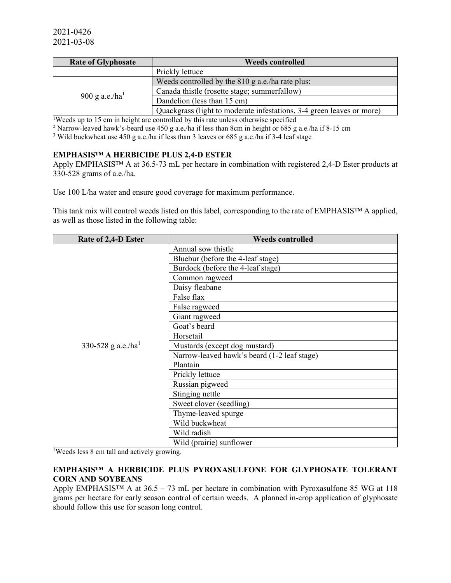| <b>Rate of Glyphosate</b> | <b>Weeds controlled</b>                                               |  |  |
|---------------------------|-----------------------------------------------------------------------|--|--|
|                           | Prickly lettuce                                                       |  |  |
|                           | Weeds controlled by the 810 g a.e./ha rate plus:                      |  |  |
|                           | Canada thistle (rosette stage; summerfallow)                          |  |  |
| 900 g a.e./ $ha1$         | Dandelion (less than 15 cm)                                           |  |  |
|                           | Quackgrass (light to moderate infestations, 3-4 green leaves or more) |  |  |

<sup>1</sup>Weeds up to 15 cm in height are controlled by this rate unless otherwise specified

<sup>2</sup> Narrow-leaved hawk's-beard use 450 g a.e./ha if less than 8cm in height or 685 g a.e./ha if 8-15 cm

<sup>3</sup> Wild buckwheat use 450 g a.e./ha if less than 3 leaves or 685 g a.e./ha if 3-4 leaf stage

## **EMPHASIS™ A HERBICIDE PLUS 2,4-D ESTER**

Apply EMPHASIS™ A at 36.5-73 mL per hectare in combination with registered 2,4-D Ester products at 330-528 grams of a.e./ha.

Use 100 L/ha water and ensure good coverage for maximum performance.

This tank mix will control weeds listed on this label, corresponding to the rate of EMPHASIS™ A applied, as well as those listed in the following table:

| Rate of 2,4-D Ester | <b>Weeds controlled</b>                     |
|---------------------|---------------------------------------------|
|                     | Annual sow thistle                          |
|                     | Bluebur (before the 4-leaf stage)           |
|                     | Burdock (before the 4-leaf stage)           |
|                     | Common ragweed                              |
|                     | Daisy fleabane                              |
|                     | False flax                                  |
|                     | False ragweed                               |
|                     | Giant ragweed                               |
|                     | Goat's beard                                |
|                     | Horsetail                                   |
| 330-528 g a.e./ha   | Mustards (except dog mustard)               |
|                     | Narrow-leaved hawk's beard (1-2 leaf stage) |
|                     | Plantain                                    |
|                     | Prickly lettuce                             |
|                     | Russian pigweed                             |
|                     | Stinging nettle                             |
|                     | Sweet clover (seedling)                     |
|                     | Thyme-leaved spurge                         |
|                     | Wild buckwheat                              |
|                     | Wild radish                                 |
|                     | Wild (prairie) sunflower                    |

1 Weeds less 8 cm tall and actively growing.

### **EMPHASIS™ A HERBICIDE PLUS PYROXASULFONE FOR GLYPHOSATE TOLERANT CORN AND SOYBEANS**

Apply EMPHASISTM A at  $36.5 - 73$  mL per hectare in combination with Pyroxasulfone 85 WG at 118 grams per hectare for early season control of certain weeds. A planned in-crop application of glyphosate should follow this use for season long control.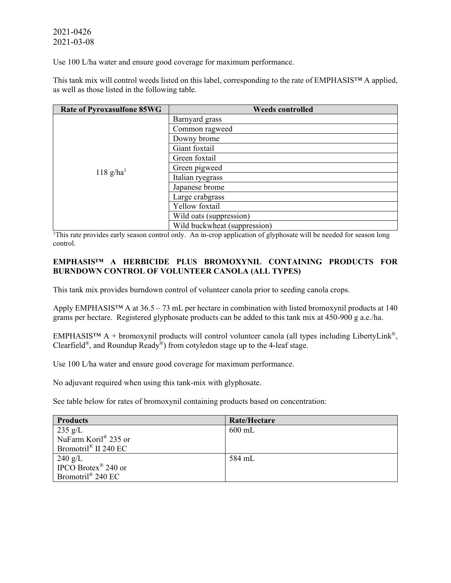Use 100 L/ha water and ensure good coverage for maximum performance.

This tank mix will control weeds listed on this label, corresponding to the rate of EMPHASIS™ A applied, as well as those listed in the following table.

| <b>Rate of Pyroxasulfone 85WG</b> | <b>Weeds controlled</b>      |  |  |
|-----------------------------------|------------------------------|--|--|
|                                   | Barnyard grass               |  |  |
|                                   | Common ragweed               |  |  |
|                                   | Downy brome                  |  |  |
|                                   | Giant foxtail                |  |  |
|                                   | Green foxtail                |  |  |
| $118$ g/ha <sup>1</sup>           | Green pigweed                |  |  |
|                                   | Italian ryegrass             |  |  |
|                                   | Japanese brome               |  |  |
|                                   | Large crabgrass              |  |  |
|                                   | Yellow foxtail               |  |  |
|                                   | Wild oats (suppression)      |  |  |
|                                   | Wild buckwheat (suppression) |  |  |

<sup>1</sup>This rate provides early season control only. An in-crop application of glyphosate will be needed for season long control.

## **EMPHASIS™ A HERBICIDE PLUS BROMOXYNIL CONTAINING PRODUCTS FOR BURNDOWN CONTROL OF VOLUNTEER CANOLA (ALL TYPES)**

This tank mix provides burndown control of volunteer canola prior to seeding canola crops.

Apply EMPHASIS<sup>TM</sup> A at  $36.5 - 73$  mL per hectare in combination with listed bromoxynil products at 140 grams per hectare. Registered glyphosate products can be added to this tank mix at 450-900 g a.e./ha.

EMPHASIS<sup>TM</sup> A + bromoxynil products will control volunteer canola (all types including LibertyLink<sup>®</sup>, Clearfield<sup>®</sup>, and Roundup Ready<sup>®</sup>) from cotyledon stage up to the 4-leaf stage.

Use 100 L/ha water and ensure good coverage for maximum performance.

No adjuvant required when using this tank-mix with glyphosate.

See table below for rates of bromoxynil containing products based on concentration:

| <b>Products</b>                 | Rate/Hectare |
|---------------------------------|--------------|
| $235 \text{ g/L}$               | $600$ mL     |
| NuFarm Koril® 235 or            |              |
| Bromotril® II 240 EC            |              |
| $240$ g/L                       | 584 mL       |
| IPCO Brotex <sup>®</sup> 240 or |              |
| Bromotril® 240 EC               |              |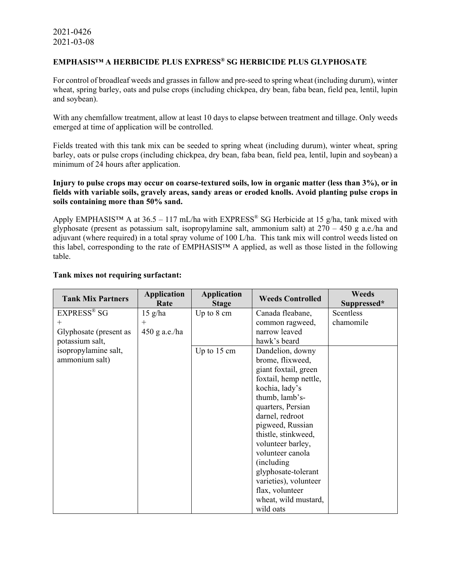### **EMPHASIS™ A HERBICIDE PLUS EXPRESS® SG HERBICIDE PLUS GLYPHOSATE**

For control of broadleaf weeds and grasses in fallow and pre-seed to spring wheat (including durum), winter wheat, spring barley, oats and pulse crops (including chickpea, dry bean, faba bean, field pea, lentil, lupin and soybean).

With any chemfallow treatment, allow at least 10 days to elapse between treatment and tillage. Only weeds emerged at time of application will be controlled.

Fields treated with this tank mix can be seeded to spring wheat (including durum), winter wheat, spring barley, oats or pulse crops (including chickpea, dry bean, faba bean, field pea, lentil, lupin and soybean) a minimum of 24 hours after application.

### **Injury to pulse crops may occur on coarse-textured soils, low in organic matter (less than 3%), or in fields with variable soils, gravely areas, sandy areas or eroded knolls. Avoid planting pulse crops in soils containing more than 50% sand.**

Apply EMPHASIS<sup>™</sup> A at  $36.5 - 117$  mL/ha with EXPRESS<sup>®</sup> SG Herbicide at 15 g/ha, tank mixed with glyphosate (present as potassium salt, isopropylamine salt, ammonium salt) at  $270 - 450$  g a.e./ha and adjuvant (where required) in a total spray volume of 100 L/ha. This tank mix will control weeds listed on this label, corresponding to the rate of EMPHASIS™ A applied, as well as those listed in the following table.

| <b>Application</b> | <b>Application</b>                                     | <b>Weeds Controlled</b>                   | <b>Weeds</b><br>Suppressed*                                                                                                                                                                                                                                                   |
|--------------------|--------------------------------------------------------|-------------------------------------------|-------------------------------------------------------------------------------------------------------------------------------------------------------------------------------------------------------------------------------------------------------------------------------|
|                    |                                                        |                                           | Scentless                                                                                                                                                                                                                                                                     |
|                    |                                                        |                                           | chamomile                                                                                                                                                                                                                                                                     |
|                    |                                                        |                                           |                                                                                                                                                                                                                                                                               |
|                    |                                                        |                                           |                                                                                                                                                                                                                                                                               |
|                    |                                                        |                                           |                                                                                                                                                                                                                                                                               |
|                    |                                                        |                                           |                                                                                                                                                                                                                                                                               |
|                    |                                                        |                                           |                                                                                                                                                                                                                                                                               |
|                    |                                                        | giant foxtail, green                      |                                                                                                                                                                                                                                                                               |
|                    |                                                        | foxtail, hemp nettle,                     |                                                                                                                                                                                                                                                                               |
|                    |                                                        |                                           |                                                                                                                                                                                                                                                                               |
|                    |                                                        |                                           |                                                                                                                                                                                                                                                                               |
|                    |                                                        |                                           |                                                                                                                                                                                                                                                                               |
|                    |                                                        | darnel, redroot                           |                                                                                                                                                                                                                                                                               |
|                    |                                                        | pigweed, Russian                          |                                                                                                                                                                                                                                                                               |
|                    |                                                        | thistle, stinkweed,                       |                                                                                                                                                                                                                                                                               |
|                    |                                                        | volunteer barley,                         |                                                                                                                                                                                                                                                                               |
|                    |                                                        | volunteer canola                          |                                                                                                                                                                                                                                                                               |
|                    |                                                        | (including)                               |                                                                                                                                                                                                                                                                               |
|                    |                                                        |                                           |                                                                                                                                                                                                                                                                               |
|                    |                                                        |                                           |                                                                                                                                                                                                                                                                               |
|                    |                                                        |                                           |                                                                                                                                                                                                                                                                               |
|                    |                                                        |                                           |                                                                                                                                                                                                                                                                               |
|                    |                                                        |                                           |                                                                                                                                                                                                                                                                               |
|                    | Rate<br>$15 \text{ g/ha}$<br>$^{+}$<br>$450$ g a.e./ha | <b>Stage</b><br>Up to 8 cm<br>Up to 15 cm | Canada fleabane,<br>common ragweed,<br>narrow leaved<br>hawk's beard<br>Dandelion, downy<br>brome, flixweed,<br>kochia, lady's<br>thumb, lamb's-<br>quarters, Persian<br>glyphosate-tolerant<br>varieties), volunteer<br>flax, volunteer<br>wheat, wild mustard,<br>wild oats |

#### **Tank mixes not requiring surfactant:**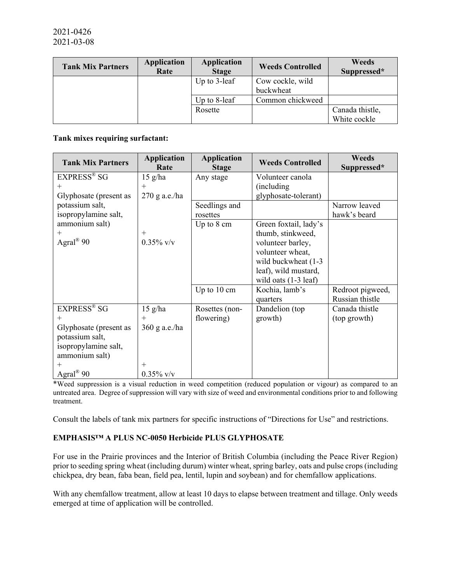| <b>Tank Mix Partners</b> | <b>Application</b><br>Rate | <b>Application</b><br><b>Stage</b> | <b>Weeds Controlled</b> | Weeds<br>Suppressed* |
|--------------------------|----------------------------|------------------------------------|-------------------------|----------------------|
|                          |                            | Up to $3$ -leaf                    | Cow cockle, wild        |                      |
|                          |                            |                                    | buckwheat               |                      |
|                          |                            | Up to $8$ -leaf                    | Common chickweed        |                      |
|                          |                            | Rosette                            |                         | Canada thistle,      |
|                          |                            |                                    |                         | White cockle         |

### **Tank mixes requiring surfactant:**

| <b>Tank Mix Partners</b>                                                                                                                             | <b>Application</b><br>Rate                                  | <b>Application</b><br><b>Stage</b> | <b>Weeds Controlled</b>                                                                                                                                              | <b>Weeds</b><br>Suppressed*         |
|------------------------------------------------------------------------------------------------------------------------------------------------------|-------------------------------------------------------------|------------------------------------|----------------------------------------------------------------------------------------------------------------------------------------------------------------------|-------------------------------------|
| <b>EXPRESS®</b> SG<br>$^+$<br>Glyphosate (present as                                                                                                 | $15$ g/ha<br>$+$<br>$270$ g a.e./ha                         | Any stage                          | Volunteer canola<br>(including)<br>glyphosate-tolerant)                                                                                                              |                                     |
| potassium salt,<br>isopropylamine salt,                                                                                                              |                                                             | Seedlings and<br>rosettes          |                                                                                                                                                                      | Narrow leaved<br>hawk's beard       |
| ammonium salt)<br>$^{+}$<br>Agral <sup>®</sup> 90                                                                                                    | $+$<br>$0.35\%$ v/v                                         | Up to 8 cm                         | Green foxtail, lady's<br>thumb, stinkweed,<br>volunteer barley,<br>volunteer wheat,<br>wild buckwheat (1-3<br>leaf), wild mustard,<br>wild oats $(1-3 \text{ leaf})$ |                                     |
|                                                                                                                                                      |                                                             | Up to 10 cm                        | Kochia, lamb's<br>quarters                                                                                                                                           | Redroot pigweed,<br>Russian thistle |
| <b>EXPRESS®</b> SG<br>$^{+}$<br>Glyphosate (present as<br>potassium salt,<br>isopropylamine salt,<br>ammonium salt)<br>$^+$<br>Agral <sup>®</sup> 90 | $15$ g/ha<br>$+$<br>360 g a.e./ha<br>$^{+}$<br>$0.35\%$ v/v | Rosettes (non-<br>flowering)       | Dandelion (top<br>growth)                                                                                                                                            | Canada thistle<br>(top growth)      |

\*Weed suppression is a visual reduction in weed competition (reduced population or vigour) as compared to an untreated area. Degree of suppression will vary with size of weed and environmental conditions prior to and following treatment.

Consult the labels of tank mix partners for specific instructions of "Directions for Use" and restrictions.

# **EMPHASIS™ A PLUS NC-0050 Herbicide PLUS GLYPHOSATE**

For use in the Prairie provinces and the Interior of British Columbia (including the Peace River Region) prior to seeding spring wheat (including durum) winter wheat, spring barley, oats and pulse crops (including chickpea, dry bean, faba bean, field pea, lentil, lupin and soybean) and for chemfallow applications.

With any chemfallow treatment, allow at least 10 days to elapse between treatment and tillage. Only weeds emerged at time of application will be controlled.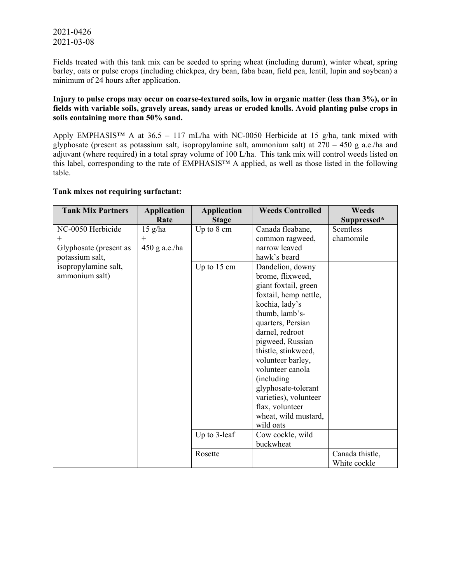Fields treated with this tank mix can be seeded to spring wheat (including durum), winter wheat, spring barley, oats or pulse crops (including chickpea, dry bean, faba bean, field pea, lentil, lupin and soybean) a minimum of 24 hours after application.

### **Injury to pulse crops may occur on coarse-textured soils, low in organic matter (less than 3%), or in fields with variable soils, gravely areas, sandy areas or eroded knolls. Avoid planting pulse crops in soils containing more than 50% sand.**

Apply EMPHASIS<sup>™</sup> A at  $36.5 - 117$  mL/ha with NC-0050 Herbicide at 15 g/ha, tank mixed with glyphosate (present as potassium salt, isopropylamine salt, ammonium salt) at  $270 - 450$  g a.e./ha and adjuvant (where required) in a total spray volume of 100 L/ha. This tank mix will control weeds listed on this label, corresponding to the rate of EMPHASIS™ A applied, as well as those listed in the following table.

### **Tank mixes not requiring surfactant:**

| <b>Tank Mix Partners</b> | <b>Application</b> | <b>Application</b> | <b>Weeds Controlled</b> | <b>Weeds</b>    |
|--------------------------|--------------------|--------------------|-------------------------|-----------------|
|                          | Rate               | <b>Stage</b>       |                         | Suppressed*     |
| NC-0050 Herbicide        | $15$ g/ha          | Up to 8 cm         | Canada fleabane,        | Scentless       |
| $^{+}$                   | $^{+}$             |                    | common ragweed,         | chamomile       |
| Glyphosate (present as   | $450$ g a.e./ha    |                    | narrow leaved           |                 |
| potassium salt,          |                    |                    | hawk's beard            |                 |
| isopropylamine salt,     |                    | Up to 15 cm        | Dandelion, downy        |                 |
| ammonium salt)           |                    |                    | brome, flixweed,        |                 |
|                          |                    |                    | giant foxtail, green    |                 |
|                          |                    |                    | foxtail, hemp nettle,   |                 |
|                          |                    |                    | kochia, lady's          |                 |
|                          |                    |                    | thumb, lamb's-          |                 |
|                          |                    |                    | quarters, Persian       |                 |
|                          |                    |                    | darnel, redroot         |                 |
|                          |                    |                    | pigweed, Russian        |                 |
|                          |                    |                    | thistle, stinkweed,     |                 |
|                          |                    |                    | volunteer barley,       |                 |
|                          |                    |                    | volunteer canola        |                 |
|                          |                    |                    | (including              |                 |
|                          |                    |                    | glyphosate-tolerant     |                 |
|                          |                    |                    | varieties), volunteer   |                 |
|                          |                    |                    | flax, volunteer         |                 |
|                          |                    |                    | wheat, wild mustard,    |                 |
|                          |                    |                    | wild oats               |                 |
|                          |                    | Up to 3-leaf       | Cow cockle, wild        |                 |
|                          |                    |                    | buckwheat               |                 |
|                          |                    | Rosette            |                         | Canada thistle, |
|                          |                    |                    |                         | White cockle    |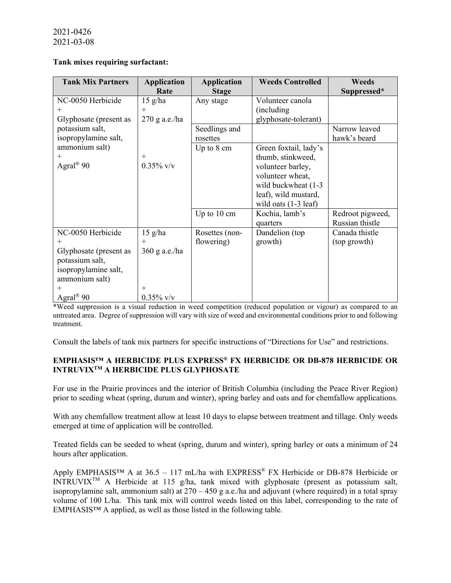### **Tank mixes requiring surfactant:**

| <b>Tank Mix Partners</b> | <b>Application</b> | <b>Application</b> | <b>Weeds Controlled</b>        | Weeds            |
|--------------------------|--------------------|--------------------|--------------------------------|------------------|
|                          | Rate               | <b>Stage</b>       |                                | Suppressed*      |
| NC-0050 Herbicide        | $15$ g/ha          | Any stage          | Volunteer canola               |                  |
| $^+$                     | $+$                |                    | (including)                    |                  |
| Glyphosate (present as   | 270 g a.e./ha      |                    | glyphosate-tolerant)           |                  |
| potassium salt,          |                    | Seedlings and      |                                | Narrow leaved    |
| isopropylamine salt,     |                    | rosettes           |                                | hawk's beard     |
| ammonium salt)           |                    | Up to 8 cm         | Green foxtail, lady's          |                  |
|                          | $^{+}$             |                    | thumb, stinkweed,              |                  |
| Agral <sup>®</sup> 90    | $0.35\%$ v/v       |                    | volunteer barley,              |                  |
|                          |                    |                    | volunteer wheat,               |                  |
|                          |                    |                    | wild buckwheat (1-3)           |                  |
|                          |                    |                    | leaf), wild mustard,           |                  |
|                          |                    |                    | wild oats $(1-3 \text{ leaf})$ |                  |
|                          |                    | Up to 10 cm        | Kochia, lamb's                 | Redroot pigweed, |
|                          |                    |                    | quarters                       | Russian thistle  |
| NC-0050 Herbicide        | $15$ g/ha          | Rosettes (non-     | Dandelion (top                 | Canada thistle   |
|                          | $+$                | flowering)         | growth)                        | (top growth)     |
| Glyphosate (present as   | $360$ g a.e./ha    |                    |                                |                  |
| potassium salt,          |                    |                    |                                |                  |
| isopropylamine salt,     |                    |                    |                                |                  |
| ammonium salt)           |                    |                    |                                |                  |
| $^+$                     | $^{+}$             |                    |                                |                  |
| Agral <sup>®</sup> 90    | $0.35\%$ v/v       |                    |                                |                  |

\*Weed suppression is a visual reduction in weed competition (reduced population or vigour) as compared to an untreated area. Degree of suppression will vary with size of weed and environmental conditions prior to and following treatment.

Consult the labels of tank mix partners for specific instructions of "Directions for Use" and restrictions.

# **EMPHASIS™ A HERBICIDE PLUS EXPRESS® FX HERBICIDE OR DB-878 HERBICIDE OR INTRUVIXTM A HERBICIDE PLUS GLYPHOSATE**

For use in the Prairie provinces and the interior of British Columbia (including the Peace River Region) prior to seeding wheat (spring, durum and winter), spring barley and oats and for chemfallow applications.

With any chemfallow treatment allow at least 10 days to elapse between treatment and tillage. Only weeds emerged at time of application will be controlled.

Treated fields can be seeded to wheat (spring, durum and winter), spring barley or oats a minimum of 24 hours after application.

Apply EMPHASIS<sup>™</sup> A at 36.5 – 117 mL/ha with EXPRESS<sup>®</sup> FX Herbicide or DB-878 Herbicide or INTRUVIX<sup>TM</sup> A Herbicide at 115 g/ha, tank mixed with glyphosate (present as potassium salt, isopropylamine salt, ammonium salt) at  $270 - 450$  g a.e./ha and adjuvant (where required) in a total spray volume of 100 L/ha. This tank mix will control weeds listed on this label, corresponding to the rate of EMPHASIS™ A applied, as well as those listed in the following table.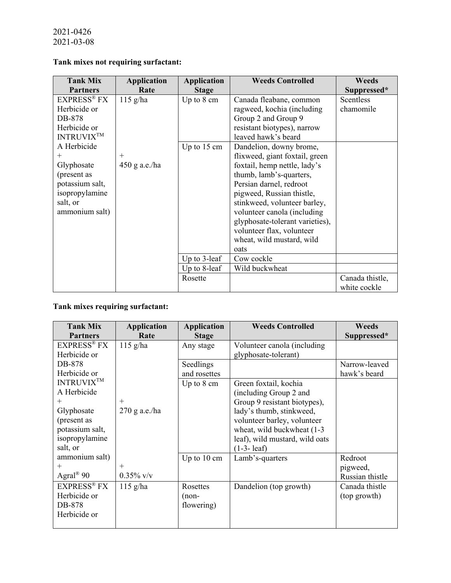# **Tank mixes not requiring surfactant:**

| <b>EXPRESS® FX</b><br>$115$ g/ha<br>Up to $8 \text{ cm}$<br>Canada fleabane, common<br>Scentless<br>Herbicide or<br>ragweed, kochia (including<br>chamomile                                                                                                                                                                                                                                                                                                                                                                                                                                                                                                                                        | <b>Tank Mix</b>           | <b>Application</b> | <b>Application</b> | <b>Weeds Controlled</b> | <b>Weeds</b>                                   |
|----------------------------------------------------------------------------------------------------------------------------------------------------------------------------------------------------------------------------------------------------------------------------------------------------------------------------------------------------------------------------------------------------------------------------------------------------------------------------------------------------------------------------------------------------------------------------------------------------------------------------------------------------------------------------------------------------|---------------------------|--------------------|--------------------|-------------------------|------------------------------------------------|
| resistant biotypes), narrow<br>Herbicide or<br><b>INTRUVIXTM</b><br>leaved hawk's beard<br>A Herbicide<br>Up to $15 \text{ cm}$<br>Dandelion, downy brome,<br>flixweed, giant foxtail, green<br>$+$<br>$^{+}$<br>$450$ g a.e./ha<br>Glyphosate<br>foxtail, hemp nettle, lady's<br>(present as<br>thumb, lamb's-quarters,<br>potassium salt,<br>Persian darnel, redroot<br>isopropylamine<br>pigweed, Russian thistle,<br>salt, or<br>stinkweed, volunteer barley,<br>ammonium salt)<br>volunteer canola (including<br>glyphosate-tolerant varieties),<br>volunteer flax, volunteer<br>wheat, wild mustard, wild<br>oats<br>Up to 3-leaf<br>Cow cockle<br>Up to 8-leaf<br>Wild buckwheat<br>Rosette | <b>Partners</b><br>DB-878 | Rate               | <b>Stage</b>       | Group 2 and Group 9     | Suppressed*<br>Canada thistle,<br>white cockle |

# **Tank mixes requiring surfactant:**

| <b>Tank Mix</b>         | <b>Application</b> | <b>Application</b>   | <b>Weeds Controlled</b>        | <b>Weeds</b>    |
|-------------------------|--------------------|----------------------|--------------------------------|-----------------|
| <b>Partners</b>         | Rate               | <b>Stage</b>         |                                | Suppressed*     |
| EXPRESS <sup>®</sup> FX | $115$ g/ha         | Any stage            | Volunteer canola (including    |                 |
| Herbicide or            |                    |                      | glyphosate-tolerant)           |                 |
| DB-878                  |                    | Seedlings            |                                | Narrow-leaved   |
| Herbicide or            |                    | and rosettes         |                                | hawk's beard    |
| <b>INTRUVIXTM</b>       |                    | Up to $8 \text{ cm}$ | Green foxtail, kochia          |                 |
| A Herbicide             |                    |                      | (including Group 2 and         |                 |
| $^+$                    | $^{+}$             |                      | Group 9 resistant biotypes),   |                 |
| Glyphosate              | $270$ g a.e./ha    |                      | lady's thumb, stinkweed,       |                 |
| (present as             |                    |                      | volunteer barley, volunteer    |                 |
| potassium salt,         |                    |                      | wheat, wild buckwheat (1-3)    |                 |
| isopropylamine          |                    |                      | leaf), wild mustard, wild oats |                 |
| salt, or                |                    |                      | $(1-3-leaf)$                   |                 |
| ammonium salt)          |                    | Up to 10 cm          | Lamb's-quarters                | Redroot         |
| $^{+}$                  | $^{+}$             |                      |                                | pigweed,        |
| Agral <sup>®</sup> 90   | $0.35\%$ v/v       |                      |                                | Russian thistle |
| <b>EXPRESS® FX</b>      | $115$ g/ha         | Rosettes             | Dandelion (top growth)         | Canada thistle  |
| Herbicide or            |                    | $(non-$              |                                | (top growth)    |
| DB-878                  |                    | flowering)           |                                |                 |
| Herbicide or            |                    |                      |                                |                 |
|                         |                    |                      |                                |                 |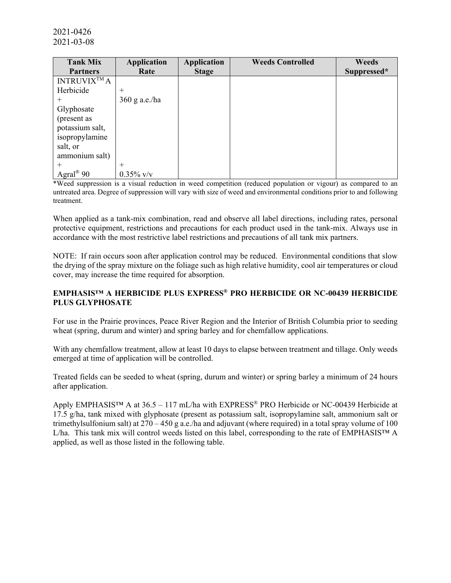| <b>Tank Mix</b>       | <b>Application</b> | <b>Application</b> | <b>Weeds Controlled</b> | <b>Weeds</b> |
|-----------------------|--------------------|--------------------|-------------------------|--------------|
| <b>Partners</b>       | Rate               | <b>Stage</b>       |                         | Suppressed*  |
| <b>INTRUVIX™A</b>     |                    |                    |                         |              |
| Herbicide             | $^{+}$             |                    |                         |              |
| $^{+}$                | $360$ g a.e./ha    |                    |                         |              |
| Glyphosate            |                    |                    |                         |              |
| (present as           |                    |                    |                         |              |
| potassium salt,       |                    |                    |                         |              |
| isopropylamine        |                    |                    |                         |              |
| salt, or              |                    |                    |                         |              |
| ammonium salt)        |                    |                    |                         |              |
| $^{+}$                | $^{+}$             |                    |                         |              |
| Agral <sup>®</sup> 90 | $0.35\%$ v/v       |                    |                         |              |

\*Weed suppression is a visual reduction in weed competition (reduced population or vigour) as compared to an untreated area. Degree of suppression will vary with size of weed and environmental conditions prior to and following treatment.

When applied as a tank-mix combination, read and observe all label directions, including rates, personal protective equipment, restrictions and precautions for each product used in the tank-mix. Always use in accordance with the most restrictive label restrictions and precautions of all tank mix partners.

NOTE: If rain occurs soon after application control may be reduced. Environmental conditions that slow the drying of the spray mixture on the foliage such as high relative humidity, cool air temperatures or cloud cover, may increase the time required for absorption.

## **EMPHASIS™ A HERBICIDE PLUS EXPRESS® PRO HERBICIDE OR NC-00439 HERBICIDE PLUS GLYPHOSATE**

For use in the Prairie provinces, Peace River Region and the Interior of British Columbia prior to seeding wheat (spring, durum and winter) and spring barley and for chemfallow applications.

With any chemfallow treatment, allow at least 10 days to elapse between treatment and tillage. Only weeds emerged at time of application will be controlled.

Treated fields can be seeded to wheat (spring, durum and winter) or spring barley a minimum of 24 hours after application.

Apply EMPHASIS™ A at 36.5 – 117 mL/ha with EXPRESS<sup>®</sup> PRO Herbicide or NC-00439 Herbicide at 17.5 g/ha, tank mixed with glyphosate (present as potassium salt, isopropylamine salt, ammonium salt or trimethylsulfonium salt) at 270 – 450 g a.e./ha and adjuvant (where required) in a total spray volume of 100 L/ha. This tank mix will control weeds listed on this label, corresponding to the rate of EMPHASIS™ A applied, as well as those listed in the following table.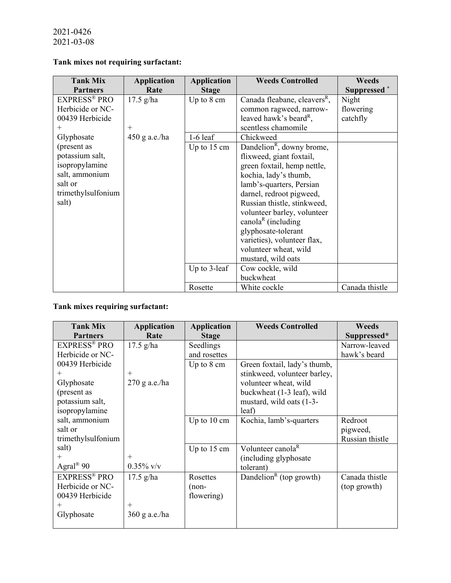# **Tank mixes not requiring surfactant:**

| <b>Tank Mix</b>     | <b>Application</b> | <b>Application</b>    | <b>Weeds Controlled</b>                  | <b>Weeds</b>            |
|---------------------|--------------------|-----------------------|------------------------------------------|-------------------------|
| <b>Partners</b>     | Rate               | <b>Stage</b>          |                                          | Suppressed <sup>*</sup> |
| <b>EXPRESS® PRO</b> | $17.5$ g/ha        | Up to $8 \text{ cm}$  | Canada fleabane, cleavers <sup>R</sup> , | Night                   |
| Herbicide or NC-    |                    |                       | common ragweed, narrow-                  | flowering               |
| 00439 Herbicide     |                    |                       | leaved hawk's beard <sup>R</sup> ,       | catchfly                |
| $^{+}$              | $^{+}$             |                       | scentless chamomile                      |                         |
| Glyphosate          | $450$ g a.e./ha    | $1-6$ leaf            | Chickweed                                |                         |
| (present as         |                    | Up to $15 \text{ cm}$ | Dandelion <sup>R</sup> , downy brome,    |                         |
| potassium salt,     |                    |                       | flixweed, giant foxtail,                 |                         |
| isopropylamine      |                    |                       | green foxtail, hemp nettle,              |                         |
| salt, ammonium      |                    |                       | kochia, lady's thumb,                    |                         |
| salt or             |                    |                       | lamb's-quarters, Persian                 |                         |
| trimethylsulfonium  |                    |                       | darnel, redroot pigweed,                 |                         |
| salt)               |                    |                       | Russian thistle, stinkweed,              |                         |
|                     |                    |                       | volunteer barley, volunteer              |                         |
|                     |                    |                       | canola <sup>R</sup> (including           |                         |
|                     |                    |                       | glyphosate-tolerant                      |                         |
|                     |                    |                       | varieties), volunteer flax,              |                         |
|                     |                    |                       | volunteer wheat, wild                    |                         |
|                     |                    |                       | mustard, wild oats                       |                         |
|                     |                    | Up to $3$ -leaf       | Cow cockle, wild                         |                         |
|                     |                    |                       | buckwheat                                |                         |
|                     |                    | Rosette               | White cockle                             | Canada thistle          |

# **Tank mixes requiring surfactant:**

| <b>Tank Mix</b>       | <b>Application</b> | <b>Application</b>    | <b>Weeds Controlled</b>             | <b>Weeds</b>    |
|-----------------------|--------------------|-----------------------|-------------------------------------|-----------------|
| <b>Partners</b>       | Rate               | <b>Stage</b>          |                                     | Suppressed*     |
| <b>EXPRESS® PRO</b>   | $17.5$ g/ha        | Seedlings             |                                     | Narrow-leaved   |
| Herbicide or NC-      |                    | and rosettes          |                                     | hawk's beard    |
| 00439 Herbicide       |                    | Up to $8 \text{ cm}$  | Green foxtail, lady's thumb,        |                 |
| $^+$                  | $^{+}$             |                       | stinkweed, volunteer barley,        |                 |
| Glyphosate            | $270$ g a.e./ha    |                       | volunteer wheat, wild               |                 |
| (present as           |                    |                       | buckwheat (1-3 leaf), wild          |                 |
| potassium salt,       |                    |                       | mustard, wild oats (1-3-            |                 |
| isopropylamine        |                    |                       | leaf)                               |                 |
| salt, ammonium        |                    | Up to $10 \text{ cm}$ | Kochia, lamb's-quarters             | Redroot         |
| salt or               |                    |                       |                                     | pigweed,        |
| trimethylsulfonium    |                    |                       |                                     | Russian thistle |
| salt)                 |                    | Up to $15 \text{ cm}$ | Volunteer canola <sup>R</sup>       |                 |
| $^+$                  | $^{+}$             |                       | (including glyphosate)              |                 |
| Agral <sup>®</sup> 90 | $0.35\%$ v/v       |                       | tolerant)                           |                 |
| <b>EXPRESS® PRO</b>   | $17.5$ g/ha        | Rosettes              | Dandelion <sup>R</sup> (top growth) | Canada thistle  |
| Herbicide or NC-      |                    | $(non-$               |                                     | (top growth)    |
| 00439 Herbicide       |                    | flowering)            |                                     |                 |
| $^+$                  | $^{+}$             |                       |                                     |                 |
| Glyphosate            | 360 g a.e./ha      |                       |                                     |                 |
|                       |                    |                       |                                     |                 |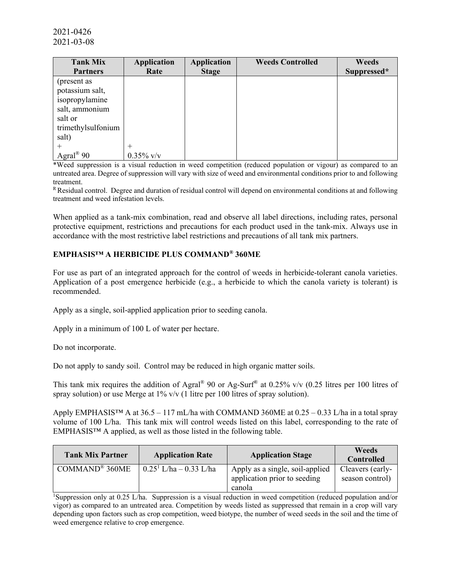| <b>Tank Mix</b>       | <b>Application</b> | <b>Application</b> | <b>Weeds Controlled</b> | <b>Weeds</b> |
|-----------------------|--------------------|--------------------|-------------------------|--------------|
| <b>Partners</b>       | Rate               | <b>Stage</b>       |                         | Suppressed*  |
| (present as           |                    |                    |                         |              |
| potassium salt,       |                    |                    |                         |              |
| isopropylamine        |                    |                    |                         |              |
| salt, ammonium        |                    |                    |                         |              |
| salt or               |                    |                    |                         |              |
| trimethylsulfonium    |                    |                    |                         |              |
| salt)                 |                    |                    |                         |              |
|                       |                    |                    |                         |              |
| Agral <sup>®</sup> 90 | $0.35\%$ v/v       |                    |                         |              |

\*Weed suppression is a visual reduction in weed competition (reduced population or vigour) as compared to an untreated area. Degree of suppression will vary with size of weed and environmental conditions prior to and following treatment.

R Residual control. Degree and duration of residual control will depend on environmental conditions at and following treatment and weed infestation levels.

When applied as a tank-mix combination, read and observe all label directions, including rates, personal protective equipment, restrictions and precautions for each product used in the tank-mix. Always use in accordance with the most restrictive label restrictions and precautions of all tank mix partners.

# **EMPHASIS™ A HERBICIDE PLUS COMMAND® 360ME**

For use as part of an integrated approach for the control of weeds in herbicide-tolerant canola varieties. Application of a post emergence herbicide (e.g., a herbicide to which the canola variety is tolerant) is recommended.

Apply as a single, soil-applied application prior to seeding canola.

Apply in a minimum of 100 L of water per hectare.

Do not incorporate.

Do not apply to sandy soil. Control may be reduced in high organic matter soils.

This tank mix requires the addition of Agral<sup>®</sup> 90 or Ag-Surf<sup>®</sup> at 0.25% v/v (0.25 litres per 100 litres of spray solution) or use Merge at 1% v/v (1 litre per 100 litres of spray solution).

Apply EMPHASIS<sup>TM</sup> A at  $36.5 - 117$  mL/ha with COMMAND 360ME at  $0.25 - 0.33$  L/ha in a total spray volume of 100 L/ha. This tank mix will control weeds listed on this label, corresponding to the rate of EMPHASIS™ A applied, as well as those listed in the following table.

| <b>Tank Mix Partner</b>      | <b>Application Rate</b>   | <b>Application Stage</b>                                                  | Weeds<br><b>Controlled</b>          |
|------------------------------|---------------------------|---------------------------------------------------------------------------|-------------------------------------|
| COMMAND <sup>®</sup> $360ME$ | $0.25^1$ L/ha – 0.33 L/ha | Apply as a single, soil-applied<br>application prior to seeding<br>canola | Cleavers (early-<br>season control) |

<sup>1</sup>Suppression only at 0.25 L/ha. Suppression is a visual reduction in weed competition (reduced population and/or vigor) as compared to an untreated area. Competition by weeds listed as suppressed that remain in a crop will vary depending upon factors such as crop competition, weed biotype, the number of weed seeds in the soil and the time of weed emergence relative to crop emergence.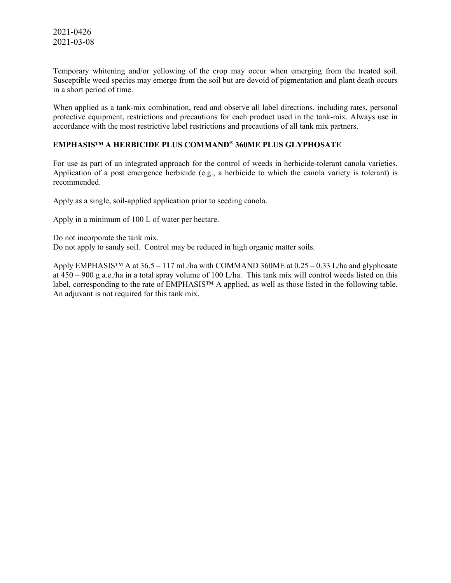Temporary whitening and/or yellowing of the crop may occur when emerging from the treated soil. Susceptible weed species may emerge from the soil but are devoid of pigmentation and plant death occurs in a short period of time.

When applied as a tank-mix combination, read and observe all label directions, including rates, personal protective equipment, restrictions and precautions for each product used in the tank-mix. Always use in accordance with the most restrictive label restrictions and precautions of all tank mix partners.

### **EMPHASIS™ A HERBICIDE PLUS COMMAND® 360ME PLUS GLYPHOSATE**

For use as part of an integrated approach for the control of weeds in herbicide-tolerant canola varieties. Application of a post emergence herbicide (e.g., a herbicide to which the canola variety is tolerant) is recommended.

Apply as a single, soil-applied application prior to seeding canola.

Apply in a minimum of 100 L of water per hectare.

Do not incorporate the tank mix.

Do not apply to sandy soil. Control may be reduced in high organic matter soils.

Apply EMPHASIS™ A at 36.5 – 117 mL/ha with COMMAND 360ME at 0.25 – 0.33 L/ha and glyphosate at 450 – 900 g a.e./ha in a total spray volume of 100 L/ha. This tank mix will control weeds listed on this label, corresponding to the rate of EMPHASIS™ A applied, as well as those listed in the following table. An adjuvant is not required for this tank mix.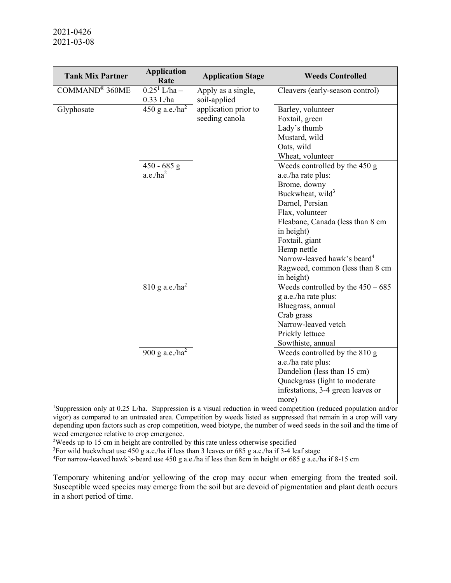| <b>Tank Mix Partner</b>    | <b>Application</b><br>Rate     | <b>Application Stage</b>           | <b>Weeds Controlled</b>                 |
|----------------------------|--------------------------------|------------------------------------|-----------------------------------------|
| COMMAND <sup>®</sup> 360ME | $0.25^1$ L/ha –<br>$0.33$ L/ha | Apply as a single,<br>soil-applied | Cleavers (early-season control)         |
| Glyphosate                 | 450 g a.e./ $ha2$              | application prior to               | Barley, volunteer                       |
|                            |                                | seeding canola                     | Foxtail, green                          |
|                            |                                |                                    | Lady's thumb                            |
|                            |                                |                                    | Mustard, wild                           |
|                            |                                |                                    | Oats, wild                              |
|                            |                                |                                    | Wheat, volunteer                        |
|                            | $450 - 685$ g                  |                                    | Weeds controlled by the 450 g           |
|                            | $a.e./ha^2$                    |                                    | a.e./ha rate plus:                      |
|                            |                                |                                    | Brome, downy                            |
|                            |                                |                                    | Buckwheat, wild <sup>3</sup>            |
|                            |                                |                                    | Darnel, Persian                         |
|                            |                                |                                    | Flax, volunteer                         |
|                            |                                |                                    | Fleabane, Canada (less than 8 cm        |
|                            |                                |                                    | in height)                              |
|                            |                                |                                    | Foxtail, giant                          |
|                            |                                |                                    | Hemp nettle                             |
|                            |                                |                                    | Narrow-leaved hawk's beard <sup>4</sup> |
|                            |                                |                                    | Ragweed, common (less than 8 cm         |
|                            |                                |                                    | in height)                              |
|                            | $810$ g a.e./ha <sup>2</sup>   |                                    | Weeds controlled by the $450 - 685$     |
|                            |                                |                                    | g a.e./ha rate plus:                    |
|                            |                                |                                    | Bluegrass, annual                       |
|                            |                                |                                    | Crab grass                              |
|                            |                                |                                    | Narrow-leaved vetch                     |
|                            |                                |                                    | Prickly lettuce                         |
|                            |                                |                                    | Sowthiste, annual                       |
|                            | 900 g a.e./ $ha^2$             |                                    | Weeds controlled by the 810 g           |
|                            |                                |                                    | a.e./ha rate plus:                      |
|                            |                                |                                    | Dandelion (less than 15 cm)             |
|                            |                                |                                    | Quackgrass (light to moderate           |
|                            |                                |                                    | infestations, 3-4 green leaves or       |
|                            |                                |                                    | more)                                   |

1 Suppression only at 0.25 L/ha. Suppression is a visual reduction in weed competition (reduced population and/or vigor) as compared to an untreated area. Competition by weeds listed as suppressed that remain in a crop will vary depending upon factors such as crop competition, weed biotype, the number of weed seeds in the soil and the time of weed emergence relative to crop emergence.

<sup>2</sup>Weeds up to 15 cm in height are controlled by this rate unless otherwise specified

<sup>3</sup>For wild buckwheat use 450 g a.e./ha if less than 3 leaves or 685 g a.e./ha if 3-4 leaf stage

4 For narrow-leaved hawk's-beard use 450 g a.e./ha if less than 8cm in height or 685 g a.e./ha if 8-15 cm

Temporary whitening and/or yellowing of the crop may occur when emerging from the treated soil. Susceptible weed species may emerge from the soil but are devoid of pigmentation and plant death occurs in a short period of time.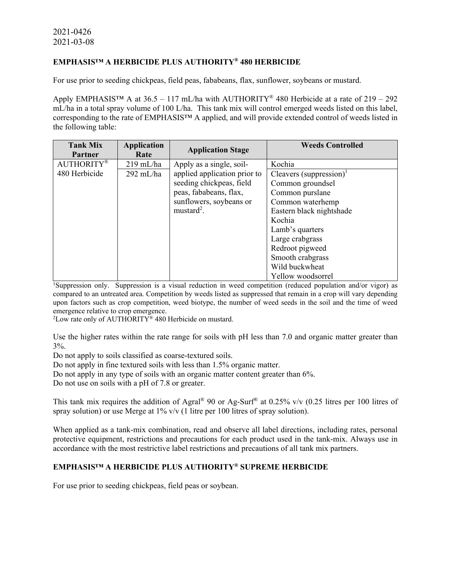### **EMPHASIS™ A HERBICIDE PLUS AUTHORITY® 480 HERBICIDE**

For use prior to seeding chickpeas, field peas, fababeans, flax, sunflower, soybeans or mustard.

Apply EMPHASIS<sup>TM</sup> A at 36.5 – 117 mL/ha with AUTHORITY<sup>®</sup> 480 Herbicide at a rate of 219 – 292 mL/ha in a total spray volume of 100 L/ha. This tank mix will control emerged weeds listed on this label, corresponding to the rate of EMPHASIS™ A applied, and will provide extended control of weeds listed in the following table:

| <b>Tank Mix</b><br>Partner | <b>Application</b><br>Rate | <b>Application Stage</b>     | <b>Weeds Controlled</b>             |
|----------------------------|----------------------------|------------------------------|-------------------------------------|
| <b>AUTHORITY®</b>          | $219$ mL/ha                | Apply as a single, soil-     | Kochia                              |
| 480 Herbicide              | $292$ mL/ha                | applied application prior to | Cleavers (suppression) <sup>1</sup> |
|                            |                            | seeding chickpeas, field     | Common groundsel                    |
|                            |                            | peas, fababeans, flax,       | Common purslane                     |
|                            |                            | sunflowers, soybeans or      | Common waterhemp                    |
|                            |                            | mustard <sup>2</sup> .       | Eastern black nightshade            |
|                            |                            |                              | Kochia                              |
|                            |                            |                              | Lamb's quarters                     |
|                            |                            |                              | Large crabgrass                     |
|                            |                            |                              | Redroot pigweed                     |
|                            |                            |                              | Smooth crabgrass                    |
|                            |                            |                              | Wild buckwheat                      |
|                            |                            |                              | Yellow woodsorrel                   |

I<br>
<sup>1</sup>Suppression only. Suppression is a visual reduction in weed competition (reduced population and/or vigor) as compared to an untreated area. Competition by weeds listed as suppressed that remain in a crop will vary depending upon factors such as crop competition, weed biotype, the number of weed seeds in the soil and the time of weed emergence relative to crop emergence.

 $^{2}$ Low rate only of AUTHORITY® 480 Herbicide on mustard.

Use the higher rates within the rate range for soils with pH less than 7.0 and organic matter greater than 3%.

Do not apply to soils classified as coarse-textured soils.

Do not apply in fine textured soils with less than 1.5% organic matter.

Do not apply in any type of soils with an organic matter content greater than 6%.

Do not use on soils with a pH of 7.8 or greater.

This tank mix requires the addition of Agral<sup>®</sup> 90 or Ag-Surf<sup>®</sup> at 0.25% v/v (0.25 litres per 100 litres of spray solution) or use Merge at 1% v/v (1 litre per 100 litres of spray solution).

When applied as a tank-mix combination, read and observe all label directions, including rates, personal protective equipment, restrictions and precautions for each product used in the tank-mix. Always use in accordance with the most restrictive label restrictions and precautions of all tank mix partners.

# **EMPHASIS™ A HERBICIDE PLUS AUTHORITY® SUPREME HERBICIDE**

For use prior to seeding chickpeas, field peas or soybean.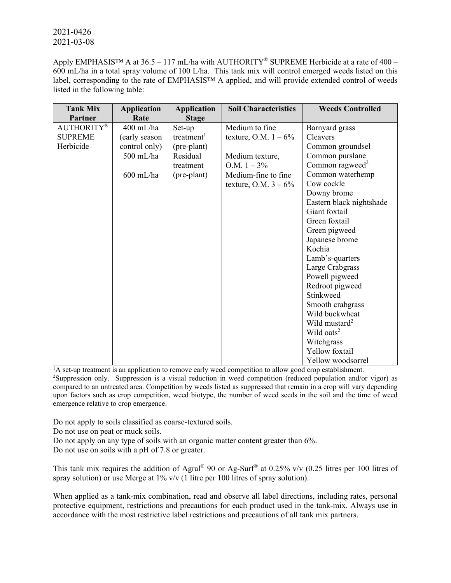Apply EMPHASISTM A at  $36.5 - 117$  mL/ha with AUTHORITY® SUPREME Herbicide at a rate of  $400 -$ 600 mL/ha in a total spray volume of 100 L/ha. This tank mix will control emerged weeds listed on this label, corresponding to the rate of EMPHASIS™ A applied, and will provide extended control of weeds listed in the following table:

| <b>Tank Mix</b>   | <b>Application</b> | <b>Application</b>     | <b>Soil Characteristics</b> | <b>Weeds Controlled</b>     |
|-------------------|--------------------|------------------------|-----------------------------|-----------------------------|
| Partner           | Rate               | <b>Stage</b>           |                             |                             |
| <b>AUTHORITY®</b> | $400$ mL/ha        | Set-up                 | Medium to fine              | Barnyard grass              |
| <b>SUPREME</b>    | (early season      | treatment <sup>1</sup> | texture, O.M. $1 - 6\%$     | Cleavers                    |
| Herbicide         | control only)      | (pre-plant)            |                             | Common groundsel            |
|                   | 500 mL/ha          | Residual               | Medium texture,             | Common purslane             |
|                   |                    | treatment              | O.M. $1 - 3\%$              | Common ragweed <sup>2</sup> |
|                   | $600$ mL/ha        | (pre-plant)            | Medium-fine to fine         | Common waterhemp            |
|                   |                    |                        | texture, O.M. $3 - 6\%$     | Cow cockle                  |
|                   |                    |                        |                             | Downy brome                 |
|                   |                    |                        |                             | Eastern black nightshade    |
|                   |                    |                        |                             | Giant foxtail               |
|                   |                    |                        |                             | Green foxtail               |
|                   |                    |                        |                             | Green pigweed               |
|                   |                    |                        |                             | Japanese brome              |
|                   |                    |                        |                             | Kochia                      |
|                   |                    |                        |                             | Lamb's-quarters             |
|                   |                    |                        |                             | Large Crabgrass             |
|                   |                    |                        |                             | Powell pigweed              |
|                   |                    |                        |                             | Redroot pigweed             |
|                   |                    |                        |                             | Stinkweed                   |
|                   |                    |                        |                             | Smooth crabgrass            |
|                   |                    |                        |                             | Wild buckwheat              |
|                   |                    |                        |                             | Wild mustard <sup>2</sup>   |
|                   |                    |                        |                             | Wild oats <sup>2</sup>      |
|                   |                    |                        |                             | Witchgrass                  |
|                   |                    |                        |                             | Yellow foxtail              |
|                   |                    |                        |                             | Yellow woodsorrel           |

<sup>1</sup>A set-up treatment is an application to remove early weed competition to allow good crop establishment.

<sup>2</sup>Suppression only. Suppression is a visual reduction in weed competition (reduced population and/or vigor) as compared to an untreated area. Competition by weeds listed as suppressed that remain in a crop will vary depending upon factors such as crop competition, weed biotype, the number of weed seeds in the soil and the time of weed emergence relative to crop emergence.

Do not apply to soils classified as coarse-textured soils.

Do not use on peat or muck soils.

Do not apply on any type of soils with an organic matter content greater than 6%.

Do not use on soils with a pH of 7.8 or greater.

This tank mix requires the addition of Agral<sup>®</sup> 90 or Ag-Surf<sup>®</sup> at 0.25% v/v (0.25 litres per 100 litres of spray solution) or use Merge at 1% v/v (1 litre per 100 litres of spray solution).

When applied as a tank-mix combination, read and observe all label directions, including rates, personal protective equipment, restrictions and precautions for each product used in the tank-mix. Always use in accordance with the most restrictive label restrictions and precautions of all tank mix partners.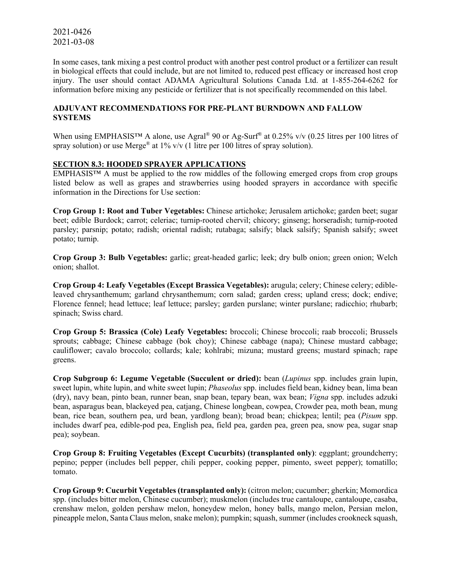In some cases, tank mixing a pest control product with another pest control product or a fertilizer can result in biological effects that could include, but are not limited to, reduced pest efficacy or increased host crop injury. The user should contact ADAMA Agricultural Solutions Canada Ltd. at 1-855-264-6262 for information before mixing any pesticide or fertilizer that is not specifically recommended on this label.

### **ADJUVANT RECOMMENDATIONS FOR PRE-PLANT BURNDOWN AND FALLOW SYSTEMS**

When using EMPHASIS<sup>™</sup> A alone, use Agral<sup>®</sup> 90 or Ag-Surf<sup>®</sup> at 0.25% v/v (0.25 litres per 100 litres of spray solution) or use Merge<sup>®</sup> at  $1\%$  v/v (1 litre per 100 litres of spray solution).

### **SECTION 8.3: HOODED SPRAYER APPLICATIONS**

EMPHASIS™ A must be applied to the row middles of the following emerged crops from crop groups listed below as well as grapes and strawberries using hooded sprayers in accordance with specific information in the Directions for Use section:

**Crop Group 1: Root and Tuber Vegetables:** Chinese artichoke; Jerusalem artichoke; garden beet; sugar beet; edible Burdock; carrot; celeriac; turnip-rooted chervil; chicory; ginseng; horseradish; turnip-rooted parsley; parsnip; potato; radish; oriental radish; rutabaga; salsify; black salsify; Spanish salsify; sweet potato; turnip.

**Crop Group 3: Bulb Vegetables:** garlic; great-headed garlic; leek; dry bulb onion; green onion; Welch onion; shallot.

**Crop Group 4: Leafy Vegetables (Except Brassica Vegetables):** arugula; celery; Chinese celery; edibleleaved chrysanthemum; garland chrysanthemum; corn salad; garden cress; upland cress; dock; endive; Florence fennel; head lettuce; leaf lettuce; parsley; garden purslane; winter purslane; radicchio; rhubarb; spinach; Swiss chard.

**Crop Group 5: Brassica (Cole) Leafy Vegetables:** broccoli; Chinese broccoli; raab broccoli; Brussels sprouts; cabbage; Chinese cabbage (bok choy); Chinese cabbage (napa); Chinese mustard cabbage; cauliflower; cavalo broccolo; collards; kale; kohlrabi; mizuna; mustard greens; mustard spinach; rape greens.

**Crop Subgroup 6: Legume Vegetable (Succulent or dried):** bean (*Lupinus* spp. includes grain lupin, sweet lupin, white lupin, and white sweet lupin; *Phaseolus* spp. includes field bean, kidney bean, lima bean (dry), navy bean, pinto bean, runner bean, snap bean, tepary bean, wax bean; *Vigna* spp. includes adzuki bean, asparagus bean, blackeyed pea, catjang, Chinese longbean, cowpea, Crowder pea, moth bean, mung bean, rice bean, southern pea, urd bean, yardlong bean); broad bean; chickpea; lentil; pea (*Pisum* spp. includes dwarf pea, edible-pod pea, English pea, field pea, garden pea, green pea, snow pea, sugar snap pea); soybean.

**Crop Group 8: Fruiting Vegetables (Except Cucurbits) (transplanted only)**: eggplant; groundcherry; pepino; pepper (includes bell pepper, chili pepper, cooking pepper, pimento, sweet pepper); tomatillo; tomato.

**Crop Group 9: Cucurbit Vegetables (transplanted only):** (citron melon; cucumber; gherkin; Momordica spp. (includes bitter melon, Chinese cucumber); muskmelon (includes true cantaloupe, cantaloupe, casaba, crenshaw melon, golden pershaw melon, honeydew melon, honey balls, mango melon, Persian melon, pineapple melon, Santa Claus melon, snake melon); pumpkin; squash, summer (includes crookneck squash,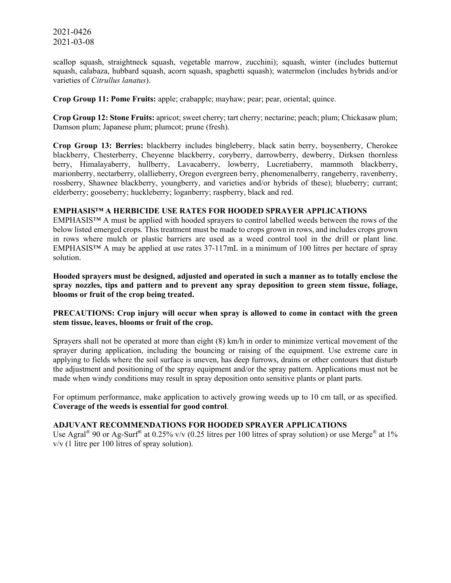scallop squash, straightneck squash, vegetable marrow, zucchini); squash, winter (includes butternut squash, calabaza, hubbard squash, acorn squash, spaghetti squash); watermelon (includes hybrids and/or varieties of *Citrullus lanatus*).

**Crop Group 11: Pome Fruits:** apple; crabapple; mayhaw; pear; pear, oriental; quince.

**Crop Group 12: Stone Fruits:** apricot; sweet cherry; tart cherry; nectarine; peach; plum; Chickasaw plum; Damson plum; Japanese plum; plumcot; prune (fresh).

**Crop Group 13: Berries:** blackberry includes bingleberry, black satin berry, boysenberry, Cherokee blackberry, Chesterberry, Cheyenne blackberry, coryberry, darrowberry, dewberry, Dirksen thornless berry, Himalayaberry, hullberry, Lavacaberry, lowberry, Lucretiaberry, mammoth blackberry, marionberry, nectarberry, olallieberry, Oregon evergreen berry, phenomenalberry, rangeberry, ravenberry, rossberry, Shawnee blackberry, youngberry, and varieties and/or hybrids of these); blueberry; currant; elderberry; gooseberry; huckleberry; loganberry; raspberry, black and red.

#### **EMPHASIS™ A HERBICIDE USE RATES FOR HOODED SPRAYER APPLICATIONS**

EMPHASIS™ A must be applied with hooded sprayers to control labelled weeds between the rows of the below listed emerged crops. This treatment must be made to crops grown in rows, and includes crops grown in rows where mulch or plastic barriers are used as a weed control tool in the drill or plant line. EMPHASIS™ A may be applied at use rates 37-117mL in a minimum of 100 litres per hectare of spray solution.

**Hooded sprayers must be designed, adjusted and operated in such a manner as to totally enclose the spray nozzles, tips and pattern and to prevent any spray deposition to green stem tissue, foliage, blooms or fruit of the crop being treated.** 

### **PRECAUTIONS: Crop injury will occur when spray is allowed to come in contact with the green stem tissue, leaves, blooms or fruit of the crop.**

Sprayers shall not be operated at more than eight (8) km/h in order to minimize vertical movement of the sprayer during application, including the bouncing or raising of the equipment. Use extreme care in applying to fields where the soil surface is uneven, has deep furrows, drains or other contours that disturb the adjustment and positioning of the spray equipment and/or the spray pattern. Applications must not be made when windy conditions may result in spray deposition onto sensitive plants or plant parts.

For optimum performance, make application to actively growing weeds up to 10 cm tall, or as specified. **Coverage of the weeds is essential for good control**.

### **ADJUVANT RECOMMENDATIONS FOR HOODED SPRAYER APPLICATIONS**

Use Agral<sup>®</sup> 90 or Ag-Surf<sup>®</sup> at 0.25% v/v (0.25 litres per 100 litres of spray solution) or use Merge<sup>®</sup> at 1% v/v (1 litre per 100 litres of spray solution).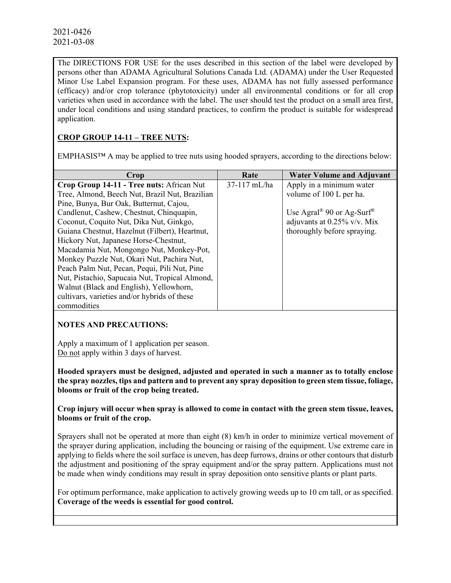The DIRECTIONS FOR USE for the uses described in this section of the label were developed by persons other than ADAMA Agricultural Solutions Canada Ltd. (ADAMA) under the User Requested Minor Use Label Expansion program. For these uses, ADAMA has not fully assessed performance (efficacy) and/or crop tolerance (phytotoxicity) under all environmental conditions or for all crop varieties when used in accordance with the label. The user should test the product on a small area first, under local conditions and using standard practices, to confirm the product is suitable for widespread application.

# **CROP GROUP 14-11 – TREE NUTS:**

EMPHASIS™ A may be applied to tree nuts using hooded sprayers, according to the directions below:

| Crop                                           | Rate         | <b>Water Volume and Adjuvant</b>                  |
|------------------------------------------------|--------------|---------------------------------------------------|
| Crop Group 14-11 - Tree nuts: African Nut      | 37-117 mL/ha | Apply in a minimum water                          |
| Tree, Almond, Beech Nut, Brazil Nut, Brazilian |              | volume of 100 L per ha.                           |
| Pine, Bunya, Bur Oak, Butternut, Cajou,        |              |                                                   |
| Candlenut, Cashew, Chestnut, Chinquapin,       |              | Use Agral <sup>®</sup> 90 or Ag-Surf <sup>®</sup> |
| Coconut, Coquito Nut, Dika Nut, Ginkgo,        |              | adjuvants at 0.25% v/v. Mix                       |
| Guiana Chestnut, Hazelnut (Filbert), Heartnut, |              | thoroughly before spraying.                       |
| Hickory Nut, Japanese Horse-Chestnut,          |              |                                                   |
| Macadamia Nut, Mongongo Nut, Monkey-Pot,       |              |                                                   |
| Monkey Puzzle Nut, Okari Nut, Pachira Nut,     |              |                                                   |
| Peach Palm Nut, Pecan, Pequi, Pili Nut, Pine   |              |                                                   |
| Nut, Pistachio, Sapucaia Nut, Tropical Almond, |              |                                                   |
| Walnut (Black and English), Yellowhorn,        |              |                                                   |
| cultivars, varieties and/or hybrids of these   |              |                                                   |
| commodities                                    |              |                                                   |

# **NOTES AND PRECAUTIONS:**

Apply a maximum of 1 application per season. Do not apply within 3 days of harvest.

**Hooded sprayers must be designed, adjusted and operated in such a manner as to totally enclose the spray nozzles, tips and pattern and to prevent any spray deposition to green stem tissue, foliage, blooms or fruit of the crop being treated.**

**Crop injury will occur when spray is allowed to come in contact with the green stem tissue, leaves, blooms or fruit of the crop.**

Sprayers shall not be operated at more than eight (8) km/h in order to minimize vertical movement of the sprayer during application, including the bouncing or raising of the equipment. Use extreme care in applying to fields where the soil surface is uneven, has deep furrows, drains or other contours that disturb the adjustment and positioning of the spray equipment and/or the spray pattern. Applications must not be made when windy conditions may result in spray deposition onto sensitive plants or plant parts.

For optimum performance, make application to actively growing weeds up to 10 cm tall, or as specified. **Coverage of the weeds is essential for good control.**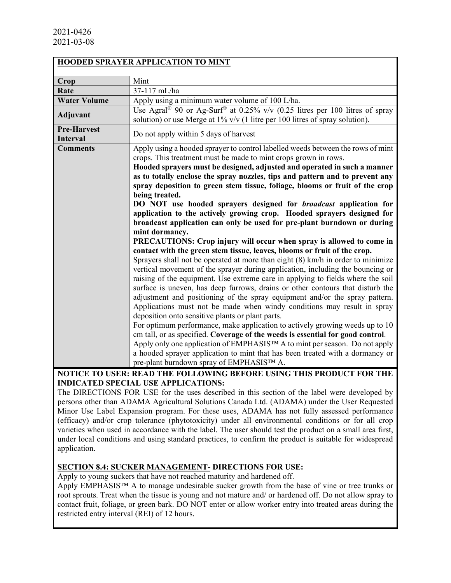|                                       | <b>HOODED SPRAYER APPLICATION TO MINT</b>                                                                                                                                                                                                                                                                                                                                                                                                                                                                                                                                                                                                                                                                                                                                                                                                                                                                                                                                                                                                                                                                                                                                                                                                                                                                                                                                                                                                                                                                                                                                                                                                                                                                                                                    |
|---------------------------------------|--------------------------------------------------------------------------------------------------------------------------------------------------------------------------------------------------------------------------------------------------------------------------------------------------------------------------------------------------------------------------------------------------------------------------------------------------------------------------------------------------------------------------------------------------------------------------------------------------------------------------------------------------------------------------------------------------------------------------------------------------------------------------------------------------------------------------------------------------------------------------------------------------------------------------------------------------------------------------------------------------------------------------------------------------------------------------------------------------------------------------------------------------------------------------------------------------------------------------------------------------------------------------------------------------------------------------------------------------------------------------------------------------------------------------------------------------------------------------------------------------------------------------------------------------------------------------------------------------------------------------------------------------------------------------------------------------------------------------------------------------------------|
| Crop                                  | Mint                                                                                                                                                                                                                                                                                                                                                                                                                                                                                                                                                                                                                                                                                                                                                                                                                                                                                                                                                                                                                                                                                                                                                                                                                                                                                                                                                                                                                                                                                                                                                                                                                                                                                                                                                         |
| Rate                                  | 37-117 mL/ha                                                                                                                                                                                                                                                                                                                                                                                                                                                                                                                                                                                                                                                                                                                                                                                                                                                                                                                                                                                                                                                                                                                                                                                                                                                                                                                                                                                                                                                                                                                                                                                                                                                                                                                                                 |
| <b>Water Volume</b>                   | Apply using a minimum water volume of 100 L/ha.                                                                                                                                                                                                                                                                                                                                                                                                                                                                                                                                                                                                                                                                                                                                                                                                                                                                                                                                                                                                                                                                                                                                                                                                                                                                                                                                                                                                                                                                                                                                                                                                                                                                                                              |
| Adjuvant                              | Use Agral <sup>®</sup> 90 or Ag-Surf <sup>®</sup> at 0.25% v/v (0.25 litres per 100 litres of spray<br>solution) or use Merge at $1\%$ v/v (1 litre per 100 litres of spray solution).                                                                                                                                                                                                                                                                                                                                                                                                                                                                                                                                                                                                                                                                                                                                                                                                                                                                                                                                                                                                                                                                                                                                                                                                                                                                                                                                                                                                                                                                                                                                                                       |
| <b>Pre-Harvest</b><br><b>Interval</b> | Do not apply within 5 days of harvest                                                                                                                                                                                                                                                                                                                                                                                                                                                                                                                                                                                                                                                                                                                                                                                                                                                                                                                                                                                                                                                                                                                                                                                                                                                                                                                                                                                                                                                                                                                                                                                                                                                                                                                        |
| <b>Comments</b>                       | Apply using a hooded sprayer to control labelled weeds between the rows of mint<br>crops. This treatment must be made to mint crops grown in rows.<br>Hooded sprayers must be designed, adjusted and operated in such a manner<br>as to totally enclose the spray nozzles, tips and pattern and to prevent any<br>spray deposition to green stem tissue, foliage, blooms or fruit of the crop<br>being treated.<br>DO NOT use hooded sprayers designed for <i>broadcast</i> application for<br>application to the actively growing crop. Hooded sprayers designed for<br>broadcast application can only be used for pre-plant burndown or during<br>mint dormancy.<br>PRECAUTIONS: Crop injury will occur when spray is allowed to come in<br>contact with the green stem tissue, leaves, blooms or fruit of the crop.<br>Sprayers shall not be operated at more than eight (8) km/h in order to minimize<br>vertical movement of the sprayer during application, including the bouncing or<br>raising of the equipment. Use extreme care in applying to fields where the soil<br>surface is uneven, has deep furrows, drains or other contours that disturb the<br>adjustment and positioning of the spray equipment and/or the spray pattern.<br>Applications must not be made when windy conditions may result in spray<br>deposition onto sensitive plants or plant parts.<br>For optimum performance, make application to actively growing weeds up to 10<br>cm tall, or as specified. Coverage of the weeds is essential for good control.<br>Apply only one application of EMPHASISTM A to mint per season. Do not apply<br>a hooded sprayer application to mint that has been treated with a dormancy or<br>pre-plant burndown spray of EMPHASIS™ A. |

## **NOTICE TO USER: READ THE FOLLOWING BEFORE USING THIS PRODUCT FOR THE INDICATED SPECIAL USE APPLICATIONS:**

The DIRECTIONS FOR USE for the uses described in this section of the label were developed by persons other than ADAMA Agricultural Solutions Canada Ltd. (ADAMA) under the User Requested Minor Use Label Expansion program. For these uses, ADAMA has not fully assessed performance (efficacy) and/or crop tolerance (phytotoxicity) under all environmental conditions or for all crop varieties when used in accordance with the label. The user should test the product on a small area first, under local conditions and using standard practices, to confirm the product is suitable for widespread application.

## **SECTION 8.4: SUCKER MANAGEMENT- DIRECTIONS FOR USE:**

Apply to young suckers that have not reached maturity and hardened off.

Apply EMPHASIS™ A to manage undesirable sucker growth from the base of vine or tree trunks or root sprouts. Treat when the tissue is young and not mature and/ or hardened off. Do not allow spray to contact fruit, foliage, or green bark. DO NOT enter or allow worker entry into treated areas during the restricted entry interval (REI) of 12 hours.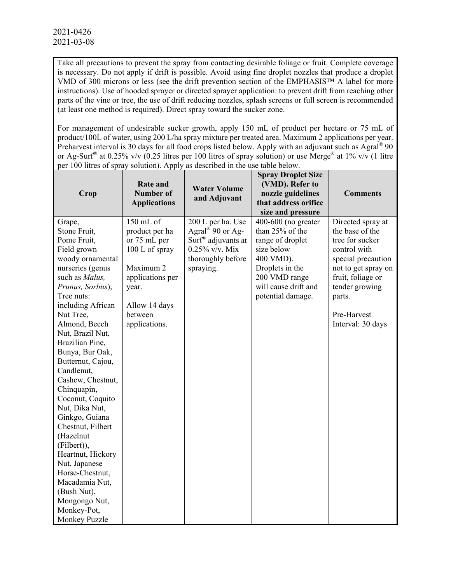Take all precautions to prevent the spray from contacting desirable foliage or fruit. Complete coverage is necessary. Do not apply if drift is possible. Avoid using fine droplet nozzles that produce a droplet VMD of 300 microns or less (see the drift prevention section of the EMPHASIS™ A label for more instructions). Use of hooded sprayer or directed sprayer application: to prevent drift from reaching other parts of the vine or tree, the use of drift reducing nozzles, splash screens or full screen is recommended (at least one method is required). Direct spray toward the sucker zone.

For management of undesirable sucker growth, apply 150 mL of product per hectare or 75 mL of product/100L of water, using 200 L/ha spray mixture per treated area. Maximum 2 applications per year. Preharvest interval is 30 days for all food crops listed below. Apply with an adjuvant such as Agral<sup>®</sup> 90 or Ag-Surf® at 0.25% v/v (0.25 litres per 100 litres of spray solution) or use Merge® at 1% v/v (1 litre per 100 litres of spray solution). Apply as described in the use table below.

| Crop                                                                                                                                                                                                                                                                                                                                                                                                                                                                                                                                                                                     | <b>Rate and</b><br><b>Number of</b><br><b>Applications</b>                                                                                           | <b>Water Volume</b><br>and Adjuvant                                                                                                        | <b>Spray Droplet Size</b><br>(VMD). Refer to<br>nozzle guidelines<br>that address orifice<br>size and pressure                                                           | <b>Comments</b>                                                                                                                                                                                           |
|------------------------------------------------------------------------------------------------------------------------------------------------------------------------------------------------------------------------------------------------------------------------------------------------------------------------------------------------------------------------------------------------------------------------------------------------------------------------------------------------------------------------------------------------------------------------------------------|------------------------------------------------------------------------------------------------------------------------------------------------------|--------------------------------------------------------------------------------------------------------------------------------------------|--------------------------------------------------------------------------------------------------------------------------------------------------------------------------|-----------------------------------------------------------------------------------------------------------------------------------------------------------------------------------------------------------|
| Grape,<br>Stone Fruit,<br>Pome Fruit,<br>Field grown<br>woody ornamental<br>nurseries (genus<br>such as Malus,<br>Prunus, Sorbus),<br>Tree nuts:<br>including African<br>Nut Tree,<br>Almond, Beech<br>Nut, Brazil Nut,<br>Brazilian Pine,<br>Bunya, Bur Oak,<br>Butternut, Cajou,<br>Candlenut,<br>Cashew, Chestnut,<br>Chinquapin,<br>Coconut, Coquito<br>Nut, Dika Nut,<br>Ginkgo, Guiana<br>Chestnut, Filbert<br>(Hazelnut<br>(Filbert)),<br>Heartnut, Hickory<br>Nut, Japanese<br>Horse-Chestnut,<br>Macadamia Nut,<br>(Bush Nut),<br>Mongongo Nut,<br>Monkey-Pot,<br>Monkey Puzzle | 150 mL of<br>product per ha<br>or 75 mL per<br>100 L of spray<br>Maximum 2<br>applications per<br>year.<br>Allow 14 days<br>between<br>applications. | 200 L per ha. Use<br>Agral <sup>®</sup> 90 or Ag-<br>Surf <sup>®</sup> adjuvants at<br>$0.25\%$ v/v. Mix<br>thoroughly before<br>spraying. | $400-600$ (no greater<br>than 25% of the<br>range of droplet<br>size below<br>400 VMD).<br>Droplets in the<br>200 VMD range<br>will cause drift and<br>potential damage. | Directed spray at<br>the base of the<br>tree for sucker<br>control with<br>special precaution<br>not to get spray on<br>fruit, foliage or<br>tender growing<br>parts.<br>Pre-Harvest<br>Interval: 30 days |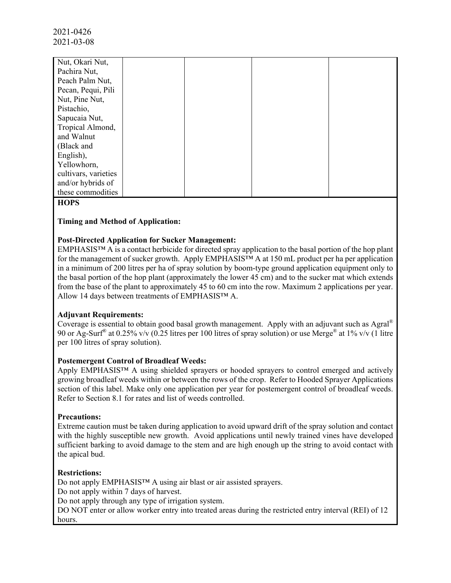| Nut, Okari Nut,      |  |  |
|----------------------|--|--|
| Pachira Nut,         |  |  |
| Peach Palm Nut,      |  |  |
| Pecan, Pequi, Pili   |  |  |
| Nut, Pine Nut,       |  |  |
| Pistachio,           |  |  |
| Sapucaia Nut,        |  |  |
| Tropical Almond,     |  |  |
| and Walnut           |  |  |
| (Black and           |  |  |
| English),            |  |  |
| Yellowhorn,          |  |  |
| cultivars, varieties |  |  |
| and/or hybrids of    |  |  |
| these commodities    |  |  |

### **HOPS**

### **Timing and Method of Application:**

### **Post-Directed Application for Sucker Management:**

EMPHASIS™ A is a contact herbicide for directed spray application to the basal portion of the hop plant for the management of sucker growth. Apply EMPHASIS™ A at 150 mL product per ha per application in a minimum of 200 litres per ha of spray solution by boom-type ground application equipment only to the basal portion of the hop plant (approximately the lower 45 cm) and to the sucker mat which extends from the base of the plant to approximately 45 to 60 cm into the row. Maximum 2 applications per year. Allow 14 days between treatments of EMPHASIS™ A.

### **Adjuvant Requirements:**

Coverage is essential to obtain good basal growth management. Apply with an adjuvant such as Agral® 90 or Ag-Surf® at 0.25% v/v (0.25 litres per 100 litres of spray solution) or use Merge® at 1% v/v (1 litre per 100 litres of spray solution).

### **Postemergent Control of Broadleaf Weeds:**

Apply EMPHASIS™ A using shielded sprayers or hooded sprayers to control emerged and actively growing broadleaf weeds within or between the rows of the crop. Refer to Hooded Sprayer Applications section of this label. Make only one application per year for postemergent control of broadleaf weeds. Refer to Section 8.1 for rates and list of weeds controlled.

### **Precautions:**

Extreme caution must be taken during application to avoid upward drift of the spray solution and contact with the highly susceptible new growth. Avoid applications until newly trained vines have developed sufficient barking to avoid damage to the stem and are high enough up the string to avoid contact with the apical bud.

### **Restrictions:**

Do not apply EMPHASIS™ A using air blast or air assisted sprayers.

Do not apply within 7 days of harvest.

Do not apply through any type of irrigation system.

DO NOT enter or allow worker entry into treated areas during the restricted entry interval (REI) of 12 hours.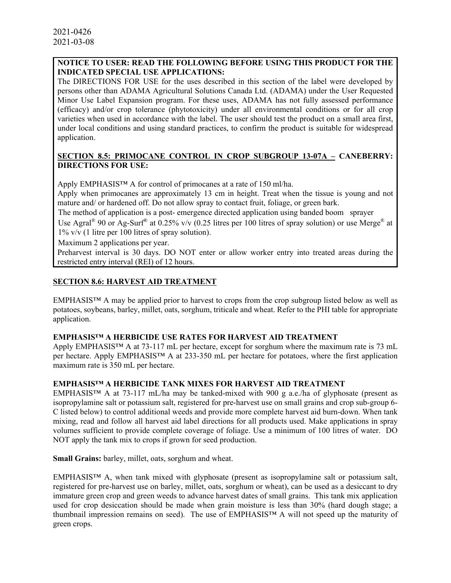## **NOTICE TO USER: READ THE FOLLOWING BEFORE USING THIS PRODUCT FOR THE INDICATED SPECIAL USE APPLICATIONS:**

The DIRECTIONS FOR USE for the uses described in this section of the label were developed by persons other than ADAMA Agricultural Solutions Canada Ltd. (ADAMA) under the User Requested Minor Use Label Expansion program. For these uses, ADAMA has not fully assessed performance (efficacy) and/or crop tolerance (phytotoxicity) under all environmental conditions or for all crop varieties when used in accordance with the label. The user should test the product on a small area first, under local conditions and using standard practices, to confirm the product is suitable for widespread application.

### **SECTION 8.5: PRIMOCANE CONTROL IN CROP SUBGROUP 13-07A – CANEBERRY: DIRECTIONS FOR USE:**

Apply EMPHASIS™ A for control of primocanes at a rate of 150 ml/ha.

Apply when primocanes are approximately 13 cm in height. Treat when the tissue is young and not mature and/ or hardened off. Do not allow spray to contact fruit, foliage, or green bark.

The method of application is a post- emergence directed application using banded boom sprayer

Use Agral<sup>®</sup> 90 or Ag-Surf<sup>®</sup> at 0.25% v/v (0.25 litres per 100 litres of spray solution) or use Merge<sup>®</sup> at  $1\%$  v/v (1 litre per 100 litres of spray solution).

Maximum 2 applications per year.

Preharvest interval is 30 days. DO NOT enter or allow worker entry into treated areas during the restricted entry interval (REI) of 12 hours.

## **SECTION 8.6: HARVEST AID TREATMENT**

EMPHASIS™ A may be applied prior to harvest to crops from the crop subgroup listed below as well as potatoes, soybeans, barley, millet, oats, sorghum, triticale and wheat. Refer to the PHI table for appropriate application.

### **EMPHASIS™ A HERBICIDE USE RATES FOR HARVEST AID TREATMENT**

Apply EMPHASIS™ A at 73-117 mL per hectare, except for sorghum where the maximum rate is 73 mL per hectare. Apply EMPHASIS™ A at 233-350 mL per hectare for potatoes, where the first application maximum rate is 350 mL per hectare.

### **EMPHASIS™ A HERBICIDE TANK MIXES FOR HARVEST AID TREATMENT**

EMPHASIS<sup>™</sup> A at 73-117 mL/ha may be tanked-mixed with 900 g a.e./ha of glyphosate (present as isopropylamine salt or potassium salt, registered for pre-harvest use on small grains and crop sub-group 6- C listed below) to control additional weeds and provide more complete harvest aid burn-down. When tank mixing, read and follow all harvest aid label directions for all products used. Make applications in spray volumes sufficient to provide complete coverage of foliage. Use a minimum of 100 litres of water. DO NOT apply the tank mix to crops if grown for seed production.

**Small Grains:** barley, millet, oats, sorghum and wheat.

EMPHASIS™ A, when tank mixed with glyphosate (present as isopropylamine salt or potassium salt, registered for pre-harvest use on barley, millet, oats, sorghum or wheat), can be used as a desiccant to dry immature green crop and green weeds to advance harvest dates of small grains. This tank mix application used for crop desiccation should be made when grain moisture is less than 30% (hard dough stage; a thumbnail impression remains on seed). The use of EMPHASIS™ A will not speed up the maturity of green crops.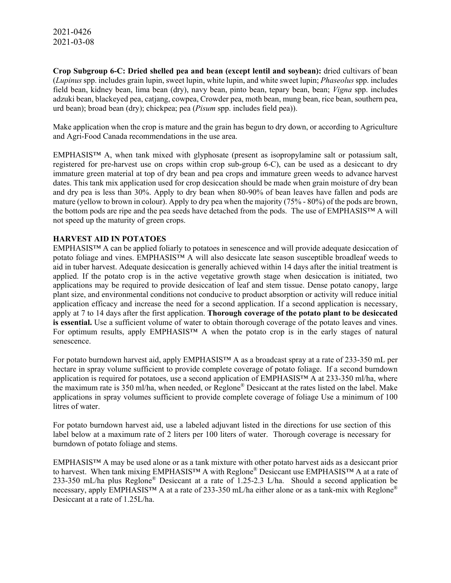**Crop Subgroup 6-C: Dried shelled pea and bean (except lentil and soybean):** dried cultivars of bean (*Lupinus* spp. includes grain lupin, sweet lupin, white lupin, and white sweet lupin; *Phaseolus* spp. includes field bean, kidney bean, lima bean (dry), navy bean, pinto bean, tepary bean, bean; *Vigna* spp. includes adzuki bean, blackeyed pea, catjang, cowpea, Crowder pea, moth bean, mung bean, rice bean, southern pea, urd bean); broad bean (dry); chickpea; pea (*Pisum* spp. includes field pea)).

Make application when the crop is mature and the grain has begun to dry down, or according to Agriculture and Agri-Food Canada recommendations in the use area.

EMPHASIS<sup>™</sup> A, when tank mixed with glyphosate (present as isopropylamine salt or potassium salt, registered for pre-harvest use on crops within crop sub-group 6-C), can be used as a desiccant to dry immature green material at top of dry bean and pea crops and immature green weeds to advance harvest dates. This tank mix application used for crop desiccation should be made when grain moisture of dry bean and dry pea is less than 30%. Apply to dry bean when 80-90% of bean leaves have fallen and pods are mature (yellow to brown in colour). Apply to dry pea when the majority (75% - 80%) of the pods are brown, the bottom pods are ripe and the pea seeds have detached from the pods. The use of EMPHASIS™ A will not speed up the maturity of green crops.

### **HARVEST AID IN POTATOES**

EMPHASIS™ A can be applied foliarly to potatoes in senescence and will provide adequate desiccation of potato foliage and vines. EMPHASIS™ A will also desiccate late season susceptible broadleaf weeds to aid in tuber harvest. Adequate desiccation is generally achieved within 14 days after the initial treatment is applied. If the potato crop is in the active vegetative growth stage when desiccation is initiated, two applications may be required to provide desiccation of leaf and stem tissue. Dense potato canopy, large plant size, and environmental conditions not conducive to product absorption or activity will reduce initial application efficacy and increase the need for a second application. If a second application is necessary, apply at 7 to 14 days after the first application. **Thorough coverage of the potato plant to be desiccated is essential.** Use a sufficient volume of water to obtain thorough coverage of the potato leaves and vines. For optimum results, apply EMPHASIS™ A when the potato crop is in the early stages of natural senescence.

For potato burndown harvest aid, apply EMPHASIS™ A as a broadcast spray at a rate of 233-350 mL per hectare in spray volume sufficient to provide complete coverage of potato foliage. If a second burndown application is required for potatoes, use a second application of  $EMPHASIS<sup>TM</sup>$  A at 233-350 ml/ha, where the maximum rate is 350 ml/ha, when needed, or Reglone® Desiccant at the rates listed on the label. Make applications in spray volumes sufficient to provide complete coverage of foliage Use a minimum of 100 litres of water.

For potato burndown harvest aid, use a labeled adjuvant listed in the directions for use section of this label below at a maximum rate of 2 liters per 100 liters of water. Thorough coverage is necessary for burndown of potato foliage and stems.

EMPHASIS™ A may be used alone or as a tank mixture with other potato harvest aids as a desiccant prior to harvest. When tank mixing EMPHASIS™ A with Reglone® Desiccant use EMPHASIS™ A at a rate of 233-350 mL/ha plus Reglone® Desiccant at a rate of 1.25-2.3 L/ha. Should a second application be necessary, apply EMPHASIS™ A at a rate of 233-350 mL/ha either alone or as a tank-mix with Reglone® Desiccant at a rate of 1.25L/ha.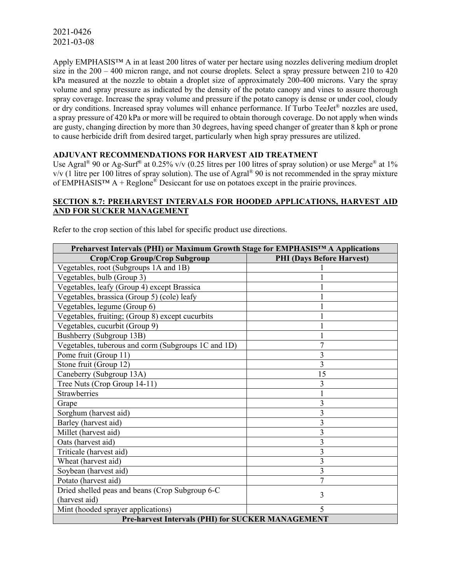Apply EMPHASIS™ A in at least 200 litres of water per hectare using nozzles delivering medium droplet size in the 200 – 400 micron range, and not course droplets. Select a spray pressure between 210 to 420 kPa measured at the nozzle to obtain a droplet size of approximately 200-400 microns. Vary the spray volume and spray pressure as indicated by the density of the potato canopy and vines to assure thorough spray coverage. Increase the spray volume and pressure if the potato canopy is dense or under cool, cloudy or dry conditions. Increased spray volumes will enhance performance. If Turbo TeeJet® nozzles are used, a spray pressure of 420 kPa or more will be required to obtain thorough coverage. Do not apply when winds are gusty, changing direction by more than 30 degrees, having speed changer of greater than 8 kph or prone to cause herbicide drift from desired target, particularly when high spray pressures are utilized.

### **ADJUVANT RECOMMENDATIONS FOR HARVEST AID TREATMENT**

Use Agral<sup>®</sup> 90 or Ag-Surf<sup>®</sup> at 0.25% v/v (0.25 litres per 100 litres of spray solution) or use Merge<sup>®</sup> at 1%  $v/v$  (1 litre per 100 litres of spray solution). The use of Agral<sup>®</sup> 90 is not recommended in the spray mixture of EMPHASIS<sup>TM</sup> A + Reglone<sup>®</sup> Desiccant for use on potatoes except in the prairie provinces.

### **SECTION 8.7: PREHARVEST INTERVALS FOR HOODED APPLICATIONS, HARVEST AID AND FOR SUCKER MANAGEMENT**

|  | Refer to the crop section of this label for specific product use directions. |
|--|------------------------------------------------------------------------------|
|--|------------------------------------------------------------------------------|

| Preharvest Intervals (PHI) or Maximum Growth Stage for EMPHASISTM A Applications |                                  |  |
|----------------------------------------------------------------------------------|----------------------------------|--|
| Crop/Crop Group/Crop Subgroup                                                    | <b>PHI</b> (Days Before Harvest) |  |
| Vegetables, root (Subgroups 1A and 1B)                                           |                                  |  |
| Vegetables, bulb (Group 3)                                                       |                                  |  |
| Vegetables, leafy (Group 4) except Brassica                                      |                                  |  |
| Vegetables, brassica (Group 5) (cole) leafy                                      |                                  |  |
| Vegetables, legume (Group 6)                                                     |                                  |  |
| Vegetables, fruiting; (Group 8) except cucurbits                                 |                                  |  |
| Vegetables, cucurbit (Group 9)                                                   |                                  |  |
| Bushberry (Subgroup 13B)                                                         |                                  |  |
| Vegetables, tuberous and corm (Subgroups 1C and 1D)                              | 7                                |  |
| Pome fruit (Group 11)                                                            | 3                                |  |
| Stone fruit (Group 12)                                                           | $\overline{3}$                   |  |
| Caneberry (Subgroup 13A)                                                         | 15                               |  |
| Tree Nuts (Crop Group 14-11)                                                     | 3                                |  |
| Strawberries                                                                     |                                  |  |
| Grape                                                                            | 3                                |  |
| Sorghum (harvest aid)                                                            | 3                                |  |
| Barley (harvest aid)                                                             | 3                                |  |
| Millet (harvest aid)                                                             | 3                                |  |
| Oats (harvest aid)                                                               | 3                                |  |
| Triticale (harvest aid)                                                          | 3                                |  |
| Wheat (harvest aid)                                                              | 3                                |  |
| Soybean (harvest aid)                                                            | $\overline{3}$                   |  |
| Potato (harvest aid)                                                             | $\overline{7}$                   |  |
| Dried shelled peas and beans (Crop Subgroup 6-C                                  | 3                                |  |
| (harvest aid)                                                                    |                                  |  |
| Mint (hooded sprayer applications)                                               | $\overline{\phantom{0}}$         |  |
| <b>Pre-harvest Intervals (PHI) for SUCKER MANAGEMENT</b>                         |                                  |  |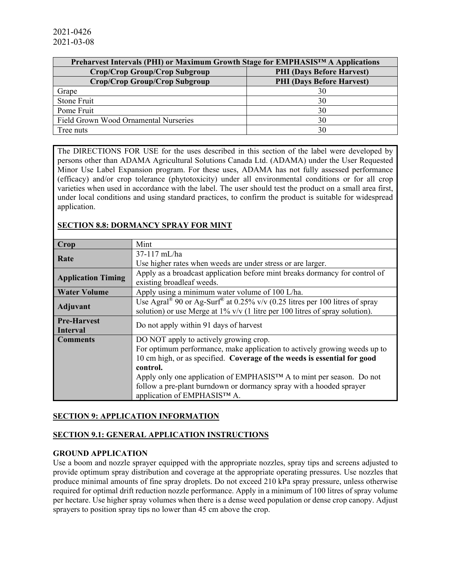| Preharvest Intervals (PHI) or Maximum Growth Stage for EMPHASIS™ A Applications |                                  |
|---------------------------------------------------------------------------------|----------------------------------|
| Crop/Crop Group/Crop Subgroup                                                   | <b>PHI</b> (Days Before Harvest) |
| Crop/Crop Group/Crop Subgroup                                                   | <b>PHI</b> (Days Before Harvest) |
| Grape                                                                           | 30                               |
| Stone Fruit                                                                     | 30                               |
| Pome Fruit                                                                      | 30                               |
| Field Grown Wood Ornamental Nurseries                                           | 30                               |
| Tree nuts                                                                       | 30                               |

The DIRECTIONS FOR USE for the uses described in this section of the label were developed by persons other than ADAMA Agricultural Solutions Canada Ltd. (ADAMA) under the User Requested Minor Use Label Expansion program. For these uses, ADAMA has not fully assessed performance (efficacy) and/or crop tolerance (phytotoxicity) under all environmental conditions or for all crop varieties when used in accordance with the label. The user should test the product on a small area first, under local conditions and using standard practices, to confirm the product is suitable for widespread application.

### **SECTION 8.8: DORMANCY SPRAY FOR MINT**

| Crop                      | Mint                                                                                                |  |
|---------------------------|-----------------------------------------------------------------------------------------------------|--|
|                           | 37-117 mL/ha                                                                                        |  |
| Rate                      | Use higher rates when weeds are under stress or are larger.                                         |  |
|                           | Apply as a broadcast application before mint breaks dormancy for control of                         |  |
| <b>Application Timing</b> | existing broadleaf weeds.                                                                           |  |
| <b>Water Volume</b>       | Apply using a minimum water volume of 100 L/ha.                                                     |  |
|                           | Use Agral <sup>®</sup> 90 or Ag-Surf <sup>®</sup> at 0.25% v/v (0.25 litres per 100 litres of spray |  |
| <b>Adjuvant</b>           | solution) or use Merge at $1\%$ v/v (1 litre per 100 litres of spray solution).                     |  |
| <b>Pre-Harvest</b>        |                                                                                                     |  |
| Interval                  | Do not apply within 91 days of harvest                                                              |  |
| <b>Comments</b>           | DO NOT apply to actively growing crop.                                                              |  |
|                           | For optimum performance, make application to actively growing weeds up to                           |  |
|                           | 10 cm high, or as specified. Coverage of the weeds is essential for good                            |  |
|                           | control.                                                                                            |  |
|                           | Apply only one application of EMPHASIS™ A to mint per season. Do not                                |  |
|                           | follow a pre-plant burndown or dormancy spray with a hooded sprayer                                 |  |
|                           | application of EMPHASIS™ A.                                                                         |  |

## **SECTION 9: APPLICATION INFORMATION**

### **SECTION 9.1: GENERAL APPLICATION INSTRUCTIONS**

### **GROUND APPLICATION**

Use a boom and nozzle sprayer equipped with the appropriate nozzles, spray tips and screens adjusted to provide optimum spray distribution and coverage at the appropriate operating pressures. Use nozzles that produce minimal amounts of fine spray droplets. Do not exceed 210 kPa spray pressure, unless otherwise required for optimal drift reduction nozzle performance. Apply in a minimum of 100 litres of spray volume per hectare. Use higher spray volumes when there is a dense weed population or dense crop canopy. Adjust sprayers to position spray tips no lower than 45 cm above the crop.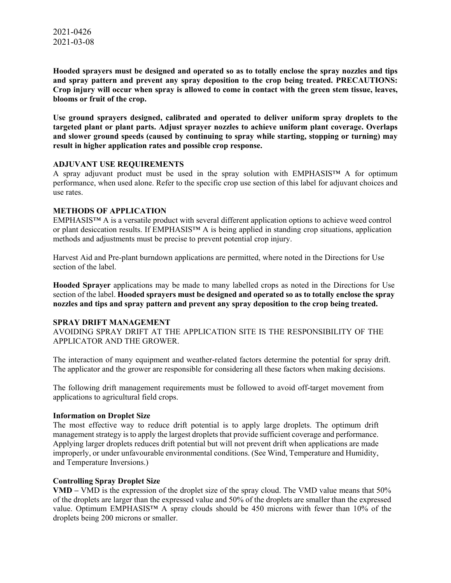**Hooded sprayers must be designed and operated so as to totally enclose the spray nozzles and tips and spray pattern and prevent any spray deposition to the crop being treated. PRECAUTIONS: Crop injury will occur when spray is allowed to come in contact with the green stem tissue, leaves, blooms or fruit of the crop.**

**Use ground sprayers designed, calibrated and operated to deliver uniform spray droplets to the targeted plant or plant parts. Adjust sprayer nozzles to achieve uniform plant coverage. Overlaps and slower ground speeds (caused by continuing to spray while starting, stopping or turning) may result in higher application rates and possible crop response.**

#### **ADJUVANT USE REQUIREMENTS**

A spray adjuvant product must be used in the spray solution with EMPHASIS™ A for optimum performance, when used alone. Refer to the specific crop use section of this label for adjuvant choices and use rates.

#### **METHODS OF APPLICATION**

EMPHASIS™ A is a versatile product with several different application options to achieve weed control or plant desiccation results. If EMPHASIS™ A is being applied in standing crop situations, application methods and adjustments must be precise to prevent potential crop injury.

Harvest Aid and Pre-plant burndown applications are permitted, where noted in the Directions for Use section of the label.

**Hooded Sprayer** applications may be made to many labelled crops as noted in the Directions for Use section of the label. **Hooded sprayers must be designed and operated so as to totally enclose the spray nozzles and tips and spray pattern and prevent any spray deposition to the crop being treated.** 

#### **SPRAY DRIFT MANAGEMENT**

AVOIDING SPRAY DRIFT AT THE APPLICATION SITE IS THE RESPONSIBILITY OF THE APPLICATOR AND THE GROWER.

The interaction of many equipment and weather-related factors determine the potential for spray drift. The applicator and the grower are responsible for considering all these factors when making decisions.

The following drift management requirements must be followed to avoid off-target movement from applications to agricultural field crops.

#### **Information on Droplet Size**

The most effective way to reduce drift potential is to apply large droplets. The optimum drift management strategy is to apply the largest droplets that provide sufficient coverage and performance. Applying larger droplets reduces drift potential but will not prevent drift when applications are made improperly, or under unfavourable environmental conditions. (See Wind, Temperature and Humidity, and Temperature Inversions.)

### **Controlling Spray Droplet Size**

**VMD –** VMD is the expression of the droplet size of the spray cloud. The VMD value means that 50% of the droplets are larger than the expressed value and 50% of the droplets are smaller than the expressed value. Optimum EMPHASIS™ A spray clouds should be 450 microns with fewer than 10% of the droplets being 200 microns or smaller.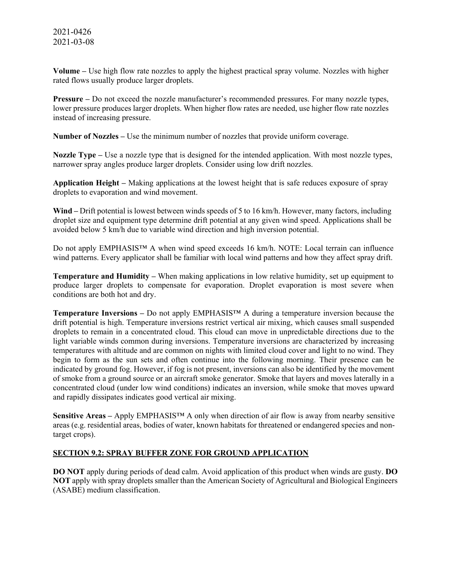**Volume –** Use high flow rate nozzles to apply the highest practical spray volume. Nozzles with higher rated flows usually produce larger droplets.

**Pressure –** Do not exceed the nozzle manufacturer's recommended pressures. For many nozzle types, lower pressure produces larger droplets. When higher flow rates are needed, use higher flow rate nozzles instead of increasing pressure.

**Number of Nozzles –** Use the minimum number of nozzles that provide uniform coverage.

**Nozzle Type –** Use a nozzle type that is designed for the intended application. With most nozzle types, narrower spray angles produce larger droplets. Consider using low drift nozzles.

**Application Height –** Making applications at the lowest height that is safe reduces exposure of spray droplets to evaporation and wind movement.

**Wind –** Drift potential is lowest between winds speeds of 5 to 16 km/h. However, many factors, including droplet size and equipment type determine drift potential at any given wind speed. Applications shall be avoided below 5 km/h due to variable wind direction and high inversion potential.

Do not apply EMPHASIS™ A when wind speed exceeds 16 km/h. NOTE: Local terrain can influence wind patterns. Every applicator shall be familiar with local wind patterns and how they affect spray drift.

**Temperature and Humidity –** When making applications in low relative humidity, set up equipment to produce larger droplets to compensate for evaporation. Droplet evaporation is most severe when conditions are both hot and dry.

**Temperature Inversions –** Do not apply EMPHASIS™ A during a temperature inversion because the drift potential is high. Temperature inversions restrict vertical air mixing, which causes small suspended droplets to remain in a concentrated cloud. This cloud can move in unpredictable directions due to the light variable winds common during inversions. Temperature inversions are characterized by increasing temperatures with altitude and are common on nights with limited cloud cover and light to no wind. They begin to form as the sun sets and often continue into the following morning. Their presence can be indicated by ground fog. However, if fog is not present, inversions can also be identified by the movement of smoke from a ground source or an aircraft smoke generator. Smoke that layers and moves laterally in a concentrated cloud (under low wind conditions) indicates an inversion, while smoke that moves upward and rapidly dissipates indicates good vertical air mixing.

**Sensitive Areas –** Apply EMPHASIS™ A only when direction of air flow is away from nearby sensitive areas (e.g. residential areas, bodies of water, known habitats for threatened or endangered species and nontarget crops).

### **SECTION 9.2: SPRAY BUFFER ZONE FOR GROUND APPLICATION**

**DO NOT** apply during periods of dead calm. Avoid application of this product when winds are gusty. **DO NOT** apply with spray droplets smaller than the American Society of Agricultural and Biological Engineers (ASABE) medium classification.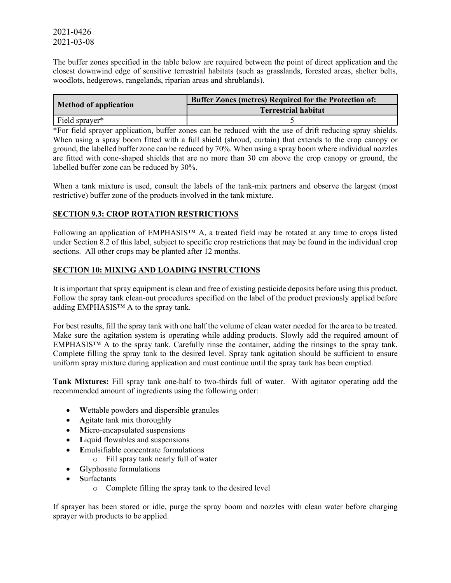The buffer zones specified in the table below are required between the point of direct application and the closest downwind edge of sensitive terrestrial habitats (such as grasslands, forested areas, shelter belts, woodlots, hedgerows, rangelands, riparian areas and shrublands).

|                              | <b>Buffer Zones (metres) Required for the Protection of:</b> |  |
|------------------------------|--------------------------------------------------------------|--|
| <b>Method of application</b> | <b>Terrestrial habitat</b>                                   |  |
| Field sprayer*               |                                                              |  |

\*For field sprayer application, buffer zones can be reduced with the use of drift reducing spray shields. When using a spray boom fitted with a full shield (shroud, curtain) that extends to the crop canopy or ground, the labelled buffer zone can be reduced by 70%. When using a spray boom where individual nozzles are fitted with cone-shaped shields that are no more than 30 cm above the crop canopy or ground, the labelled buffer zone can be reduced by 30%.

When a tank mixture is used, consult the labels of the tank-mix partners and observe the largest (most restrictive) buffer zone of the products involved in the tank mixture.

## **SECTION 9.3: CROP ROTATION RESTRICTIONS**

Following an application of EMPHASIS™ A, a treated field may be rotated at any time to crops listed under Section 8.2 of this label, subject to specific crop restrictions that may be found in the individual crop sections. All other crops may be planted after 12 months.

### **SECTION 10: MIXING AND LOADING INSTRUCTIONS**

It is important that spray equipment is clean and free of existing pesticide deposits before using this product. Follow the spray tank clean-out procedures specified on the label of the product previously applied before adding EMPHASIS™ A to the spray tank.

For best results, fill the spray tank with one half the volume of clean water needed for the area to be treated. Make sure the agitation system is operating while adding products. Slowly add the required amount of EMPHASIS™ A to the spray tank. Carefully rinse the container, adding the rinsings to the spray tank. Complete filling the spray tank to the desired level. Spray tank agitation should be sufficient to ensure uniform spray mixture during application and must continue until the spray tank has been emptied.

**Tank Mixtures:** Fill spray tank one-half to two-thirds full of water. With agitator operating add the recommended amount of ingredients using the following order:

- **W**ettable powders and dispersible granules
- **A**gitate tank mix thoroughly
- **M**icro-encapsulated suspensions
- **L**iquid flowables and suspensions
- **E**mulsifiable concentrate formulations
	- o Fill spray tank nearly full of water
- **G**lyphosate formulations
- **S**urfactants
	- o Complete filling the spray tank to the desired level

If sprayer has been stored or idle, purge the spray boom and nozzles with clean water before charging sprayer with products to be applied.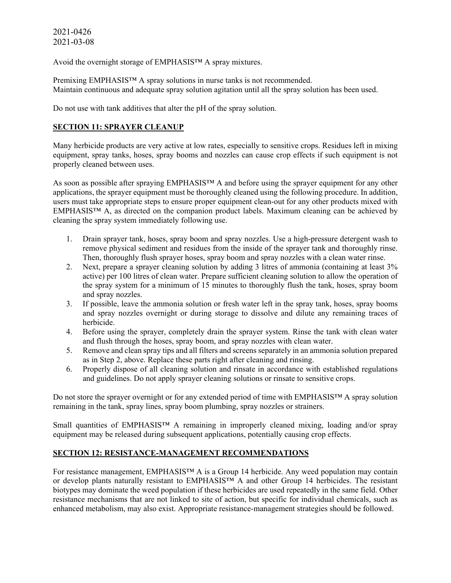Avoid the overnight storage of EMPHASIS™ A spray mixtures.

Premixing EMPHASIS™ A spray solutions in nurse tanks is not recommended. Maintain continuous and adequate spray solution agitation until all the spray solution has been used.

Do not use with tank additives that alter the pH of the spray solution.

# **SECTION 11: SPRAYER CLEANUP**

Many herbicide products are very active at low rates, especially to sensitive crops. Residues left in mixing equipment, spray tanks, hoses, spray booms and nozzles can cause crop effects if such equipment is not properly cleaned between uses.

As soon as possible after spraying EMPHASIS™ A and before using the sprayer equipment for any other applications, the sprayer equipment must be thoroughly cleaned using the following procedure. In addition, users must take appropriate steps to ensure proper equipment clean-out for any other products mixed with EMPHASIS™ A, as directed on the companion product labels. Maximum cleaning can be achieved by cleaning the spray system immediately following use.

- 1. Drain sprayer tank, hoses, spray boom and spray nozzles. Use a high-pressure detergent wash to remove physical sediment and residues from the inside of the sprayer tank and thoroughly rinse. Then, thoroughly flush sprayer hoses, spray boom and spray nozzles with a clean water rinse.
- 2. Next, prepare a sprayer cleaning solution by adding 3 litres of ammonia (containing at least 3% active) per 100 litres of clean water. Prepare sufficient cleaning solution to allow the operation of the spray system for a minimum of 15 minutes to thoroughly flush the tank, hoses, spray boom and spray nozzles.
- 3. If possible, leave the ammonia solution or fresh water left in the spray tank, hoses, spray booms and spray nozzles overnight or during storage to dissolve and dilute any remaining traces of herbicide.
- 4. Before using the sprayer, completely drain the sprayer system. Rinse the tank with clean water and flush through the hoses, spray boom, and spray nozzles with clean water.
- 5. Remove and clean spray tips and all filters and screens separately in an ammonia solution prepared as in Step 2, above. Replace these parts right after cleaning and rinsing.
- 6. Properly dispose of all cleaning solution and rinsate in accordance with established regulations and guidelines. Do not apply sprayer cleaning solutions or rinsate to sensitive crops.

Do not store the sprayer overnight or for any extended period of time with EMPHASIS™ A spray solution remaining in the tank, spray lines, spray boom plumbing, spray nozzles or strainers.

Small quantities of EMPHASIS™ A remaining in improperly cleaned mixing, loading and/or spray equipment may be released during subsequent applications, potentially causing crop effects.

## **SECTION 12: RESISTANCE-MANAGEMENT RECOMMENDATIONS**

For resistance management, EMPHASIS™ A is a Group 14 herbicide. Any weed population may contain or develop plants naturally resistant to EMPHASIS™ A and other Group 14 herbicides. The resistant biotypes may dominate the weed population if these herbicides are used repeatedly in the same field. Other resistance mechanisms that are not linked to site of action, but specific for individual chemicals, such as enhanced metabolism, may also exist. Appropriate resistance-management strategies should be followed.